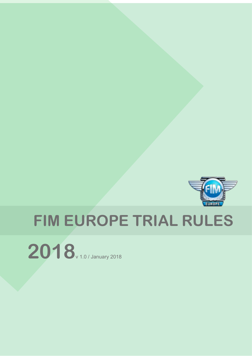

# **FIM EUROPE TRIAL RULES**

**2018**v 1.0 / January 2018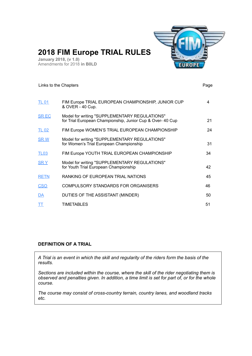

## <span id="page-1-0"></span>**2018 FIM Europe TRIAL RULES**

**January 2018, (v 1.0)** Amendments for 2018 **in B0LD**

## [TL 01](#page-3-0) FIM Europe TRIAL EUROPEAN CHAMPIONSHIP, JUNIOR CUP 4 & OVER - 40 Cup. [SR EC](#page-20-0) Model for writing "SUPPLEMENTARY REGULATIONS" for Trial European Championship, Junior Cup & Over- 40 Cup 21 [TL 02](#page-23-0) FIM Europe WOMEN'S TRIAL EUROPEAN CHAMPIONSHIP 24 [SR W](#page-30-0) Model for writing "SUPPLEMENTARY REGULATIONS" for Women's Trial European Championship 31 [TL03](#page-33-0) FIM Europe YOUTH TRIAL EUROPEAN CHAMPIONSHIP 34 [SR Y](#page-41-0) Model for writing "SUPPLEMENTARY REGULATIONS" for Youth Trial European Championship 42 [RETN](#page-44-0) RANKING OF EUROPEAN TRIAL NATIONS 45 [CSO](#page-45-0) COMPULSORY STANDARDS FOR ORGANISERS 46 [DA](#page-49-0) DUTIES OF THE ASSISTANT (MINDER) 50 [TT](#page-50-0) TIMETABLES 51 Links to the Chapters **Page 19th Chapters** Page 2014 12:30 and 2014 12:30 and 2014 12:30 and 2014 12:30 and 2014 12:30 and 2014 12:30 and 2014 12:30 and 2014 12:30 and 2014 12:30 and 2014 12:30 and 2014 12:30 and 2014 12:3

#### **DEFINITION OF A TRIAL**

*A Trial is an event in which the skill and regularity of the riders form the basis of the results.*

*Sections are included within the course, where the skill of the rider negotiating them is observed and penalties given. In addition, a time limit is set for part of, or for the whole course.*

*The course may consist of cross-country terrain, country lanes, and woodland tracks etc.*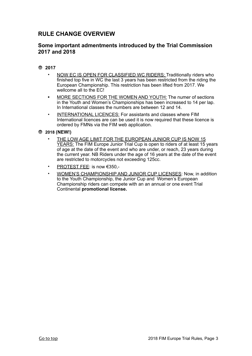## **RULE CHANGE OVERVIEW**

#### **Some important admentments introduced by the Trial Commission 2017 and 2018**

#### **2017**

- NOW EC IS OPEN FOR CLASSIFIED WC RIDERS: Traditionally riders who finished top five in WC the last 3 years has been restricted from the riding the European Championship. This restriction has been lifted from 2017. We wellcome all to the EC!
- **•** MORE SECTIONS FOR THE WOMEN AND YOUTH: The numer of sections in the Youth and Women's Championships has been increased to 14 per lap. In International classes the numbers are between 12 and 14.
- INTERNATIONAL LICENCES: For assistants and classes where FIM International licences are can be used it is now required that these licence is ordered by FMNs via the FIM web application.

**2018 (NEW!)**

- THE LOW AGE LIMIT FOR THE EUROPEAN JUNIOR CUP IS NOW 15 YEARS: The FIM Europe Junior Trial Cup is open to riders of at least 15 years of age at the date of the event and who are under, or reach, 23 years during the current year. NB Riders under the age of 16 years at the date of the event are restricted to motorcycles not exceeding 125cc.
- **PROTEST FEE: is now €350,-**
- WOMEN'S CHAMPIONSHIP AND JUNIOR CUP LICENSES: Now, in addition to the Youth Championship, the Junior Cup and Women's European Championship riders can compete with an an annual or one event Trial Continental **promotional license.**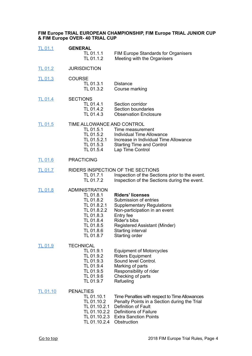#### <span id="page-3-0"></span>**FIM Europe TRIAL EUROPEAN CHAMPIONSHIP, FIM Europe TRIAL JUNIOR CUP & FIM Europe OVER- 40 TRIAL CUP**

| <b>TL 01.1</b> | <b>GENERAL</b><br>TL 01.1.1<br>TL 01.1.2                                                                                                       | <b>FIM Europe Standards for Organisers</b><br>Meeting with the Organisers                                                                                                                                                  |
|----------------|------------------------------------------------------------------------------------------------------------------------------------------------|----------------------------------------------------------------------------------------------------------------------------------------------------------------------------------------------------------------------------|
| <b>TL 01.2</b> | <b>JURISDICTION</b>                                                                                                                            |                                                                                                                                                                                                                            |
| <b>TL 01.3</b> | <b>COURSE</b><br>TL 01.3.1<br>TL 01.3.2                                                                                                        | <b>Distance</b><br>Course marking                                                                                                                                                                                          |
| <b>TL 01.4</b> | <b>SECTIONS</b><br>TL 01.4.1<br>TL 01.4.2<br>TL 01.4.3                                                                                         | Section corridor<br>Section boundaries<br><b>Observation Enclosure</b>                                                                                                                                                     |
| <b>TL 01.5</b> | TIME ALLOWANCE AND CONTROL<br>TL 01.5.1<br>TL 01.5.2<br>TL 01.5.2.1<br>TL 01.5.3<br>TL 01.5.4                                                  | Time measurement<br>Individual Time Allowance<br>Increase in Individual Time Allowance<br><b>Starting Time and Control</b><br>Lap Time Control                                                                             |
| <b>TL 01.6</b> | <b>PRACTICING</b>                                                                                                                              |                                                                                                                                                                                                                            |
| <b>TL 01.7</b> | TL 01.7.1<br>TL 01.7.2                                                                                                                         | RIDERS INSPECTION OF THE SECTIONS<br>Inspection of the Sections prior to the event.<br>Inspection of the Sections during the event.                                                                                        |
| <b>TL 01.8</b> | <b>ADMINISTRATION</b><br>TL 01.8.1<br>TL 01.8.2<br>TL 01.8.2.1<br>TL 01.8.2.2<br>TL 01.8.3<br>TL 01.8.4<br>TL 01.8.5<br>TL 01.8.6<br>TL 01.8.7 | <b>Riders' licenses</b><br>Submission of entries<br><b>Supplementary Regulations</b><br>Non-participation in an event<br>Entry fee<br>Rider's bibs<br>Registered Assistant (Minder)<br>Starting interval<br>Starting order |
| <b>TL 01.9</b> | <b>TECHNICAL</b><br>TL 01.9.1<br>TL 01.9.2<br>TL 01.9.3<br>TL 01.9.4<br>TL 01.9.5<br>TL 01.9.6<br>TL 01.9.7                                    | <b>Equipment of Motorcycles</b><br><b>Riders Equipment</b><br>Sound level Control.<br>Marking of parts<br>Responsibility of rider<br>Checking of parts<br>Refueling                                                        |
| TL 01.10       | <b>PENALTIES</b><br>TL 01.10.1<br>TL 01.10.2<br>TL 01.10.2.1<br>TL 01.10.2.2<br>TL 01.10.2.3<br>TL 01.10.2.4                                   | Time Penalties with respect to Time Allowances<br>Penalty Points in a Section during the Trial<br><b>Definition of Fault</b><br><b>Definitions of Failure</b><br><b>Extra Sanction Points</b><br>Obstruction               |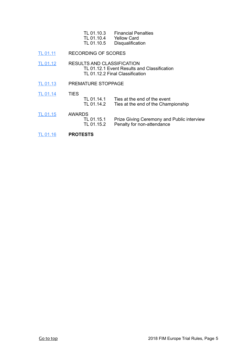| TL 01.10.3 | <b>Financial Penalties</b> |
|------------|----------------------------|
| TL 01.10.4 | Yellow Card                |
| TL 01.10.5 | Disqualification           |

[TL 01.11](#page-17-0) RECORDING OF SCORES

[TL 01.12](#page-17-1) RESULTS AND CLASSIFICATION TL 01.12.1 Event Results and Classification TL 01.12.2 Final Classification

[TL 01.13](#page-18-0) PREMATURE STOPPAGE

[TL 01.14](#page-18-1) TIES

- TL 01.14.1 Ties at the end of the event<br>TL 01.14.2 Ties at the end of the Cham Ties at the end of the Championship
- [TL 01.15](#page-18-2) AWARDS<br>TL 01.15.1 TL 01.15.1 Prize Giving Ceremony and Public interview<br>TL 01.15.2 Penalty for non-attendance Penalty for non-attendance
- [TL 01.16](#page-19-0) **PROTESTS**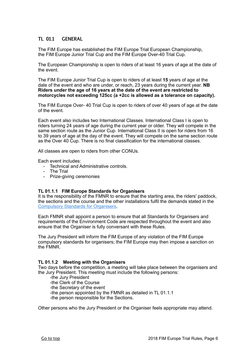#### <span id="page-5-0"></span>**TL 01.1 GENERAL**

The FIM Europe has established the FIM Europe Trial European Championship, the FIM Europe Junior Trial Cup and the FIM Europe Over-40 Trial Cup.

The European Championship is open to riders of at least 16 years of age at the date of the event.

The FIM Europe Junior Trial Cup is open to riders of at least **15** years of age at the date of the event and who are under, or reach, 23 years during the current year. **NB Riders under the age of 16 years at the date of the event are restricted to motorcycles not exceeding 125cc (a +2cc is allowed as a tolerance on capacity).**

The FIM Europe Over- 40 Trial Cup is open to riders of over 40 years of age at the date of the event.

Each event also includes two International Classes. International Class I is open to riders turning 24 years of age during the current year or older. They will compete in the same section route as the Junior Cup. International Class II is open for riders from 16 to 39 years of age at the day of the event. They will compete on the same section route as the Over 40 Cup. There is no final classification for the international classes.

All classes are open to riders from other CONUs.

Each event includes:

- Technical and Administrative controls.
- The Trial
- Prize-giving ceremonies

#### **TL 01.1.1 FIM Europe Standards for Organisers**

It is the responsibility of the FMNR to ensure that the starting area, the riders' paddock, the sections and the course and the other installations fulfil the demands stated in the [Compulsory Standards for Organisers.](#page-45-0)

Each FMNR shall appoint a person to ensure that all Standards for Organisers and requirements of the Environment Code are respected throughout the event and also ensure that the Organiser is fully conversant with these Rules.

The Jury President will inform the FIM Europe of any violation of the FIM Europe compulsory standards for organisers; the FIM Europe may then impose a sanction on the FMNR.

#### **TL 01.1.2 Meeting with the Organisers**

Two days before the competition, a meeting will take place between the organisers and the Jury President. This meeting must include the following persons:

- -the Jury President
- -the Clerk of the Course
- -the Secretary of the event
- -the person appointed by the FMNR as detailed in TL 01.1.1
- -the person responsible for the Sections.

Other persons who the Jury President or the Organiser feels appropriate may attend.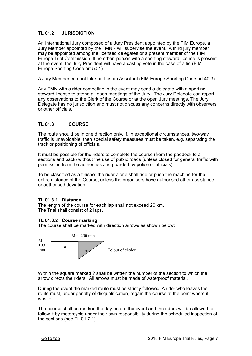#### <span id="page-6-0"></span>**TL 01.2 JURISDICTION**

An International Jury composed of a Jury President appointed by the FIM Europe, a Jury Member appointed by the FMNR will supervise the event. A third jury member may be appointed among the licensed delegates or a present member of the FIM Europe Trial Commission. If no other person with a sporting steward license is present at the event, the Jury President will have a casting vote in the case of a tie (FIM Europe Sporting Code art 50.1).

A Jury Member can not take part as an Assistant (FIM Europe Sporting Code art 40.3).

Any FMN with a rider competing in the event may send a delegate with a sporting steward license to attend all open meetings of the Jury. The Jury Delegate can report any observations to the Clerk of the Course or at the open Jury meetings. The Jury Delegate has no jurisdiction and must not discuss any concerns directly with observers or other officials.

#### <span id="page-6-1"></span>**TL 01.3 COURSE**

The route should be in one direction only. If, in exceptional circumstances, two-way traffic is unavoidable, then special safety measures must be taken, e.g. separating the track or positioning of officials.

It must be possible for the riders to complete the course (from the paddock to all sections and back) without the use of public roads (unless closed for general traffic with permission from the authorities and guarded by police or officials).

To be classified as a finisher the rider alone shall ride or push the machine for the entire distance of the Course, unless the organisers have authorised other assistance or authorised deviation.

#### **TL 01.3.1 Distance**

The length of the course for each lap shall not exceed 20 km. The Trial shall consist of 2 laps.

#### **TL 01.3.2 Course marking**

The course shall be marked with direction arrows as shown below:



Within the square marked ? shall be written the number of the section to which the arrow directs the riders. All arrows must be made of waterproof material.

During the event the marked route must be strictly followed. A rider who leaves the route must, under penalty of disqualification, regain the course at the point where it was left.

The course shall be marked the day before the event and the riders will be allowed to follow it by motorcycle under their own responsibility during the scheduled inspection of the sections (see TL 01.7.1).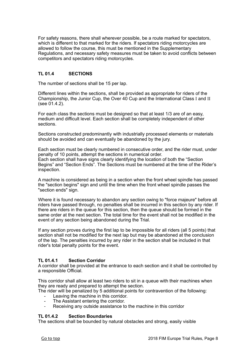For safety reasons, there shall wherever possible, be a route marked for spectators, which is different to that marked for the riders. If spectators riding motorcycles are allowed to follow the course, this must be mentioned in the Supplementary Regulations, and necessary safety measures must be taken to avoid conflicts between competitors and spectators riding motorcycles.

#### <span id="page-7-0"></span>**TL 01.4 SECTIONS**

The number of sections shall be 15 per lap.

Different lines within the sections, shall be provided as appropriate for riders of the Championship, the Junior Cup, the Over 40 Cup and the International Class I and II (see 01.4.2).

For each class the sections must be designed so that at least 1/3 are of an easy, medium and difficult level. Each section shall be completely independent of other sections.

Sections constructed predominantly with industrially processed elements or materials should be avoided and can eventually be abandoned by the jury.

Each section must be clearly numbered in consecutive order, and the rider must, under penalty of 10 points, attempt the sections in numerical order. Each section shall have signs clearly identifying the location of both the "Section Begins" and "Section Ends". The Sections must be numbered at the time of the Rider's inspection.

A machine is considered as being in a section when the front wheel spindle has passed the "section begins" sign and until the time when the front wheel spindle passes the "section ends" sign.

Where it is found necessary to abandon any section owing to "force majeure" before all riders have passed through, no penalties shall be incurred in this section by any rider. If there are riders in the queue for this section, then the queue should be formed in the same order at the next section. The total time for the event shall not be modified in the event of any section being abandoned during the Trial.

If any section proves during the first lap to be impossible for all riders (all 5 points) that section shall not be modified for the next lap but may be abandoned at the conclusion of the lap. The penalties incurred by any rider in the section shall be included in that rider's total penalty points for the event.

#### **TL 01.4.1 Section Corridor**

A corridor shall be provided at the entrance to each section and it shall be controlled by a responsible Official.

This corridor shall allow at least two riders to sit in a queue with their machines when they are ready and prepared to attempt the section.

The rider will be penalized by 5 additional points for contravention of the following:

- Leaving the machine in this corridor.
- The Assistant entering the corridor.
- Receiving any outside assistance to the machine in this corridor

#### **TL 01.4.2 Section Boundaries**

The sections shall be bounded by natural obstacles and strong, easily visible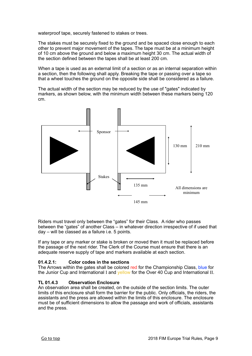waterproof tape, securely fastened to stakes or trees.

The stakes must be securely fixed to the ground and be spaced close enough to each other to prevent major movement of the tapes. The tape must be at a minimum height of 10 cm above the ground and below a maximum height 30 cm. The actual width of the section defined between the tapes shall be at least 200 cm.

When a tape is used as an external limit of a section or as an internal separation within a section, then the following shall apply. Breaking the tape or passing over a tape so that a wheel touches the ground on the opposite side shall be considered as a failure.

The actual width of the section may be reduced by the use of "gates" indicated by markers, as shown below, with the minimum width between these markers being 120 cm.



Riders must travel only between the "gates" for their Class. A rider who passes between the "gates" of another Class – in whatever direction irrespective of if used that day – will be classed as a failure i.e. 5 points.

If any tape or any marker or stake is broken or moved then it must be replaced before the passage of the next rider. The Clerk of the Course must ensure that there is an adequate reserve supply of tape and markers available at each section.

#### **01.4.2.1: Color codes in the sections**

The Arrows within the gates shall be colored red for the Championship Class, blue for the Junior Cup and International I and vellow for the Over 40 Cup and International II.

#### **TL 01.4.3 Observation Enclosure**

An observation area shall be created, on the outside of the section limits. The outer limits of this enclosure shall form the barrier for the public. Only officials, the riders, the assistants and the press are allowed within the limits of this enclosure. The enclosure must be of sufficient dimensions to allow the passage and work of officials, assistants and the press.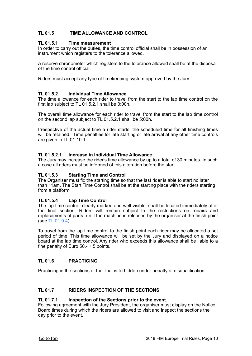#### <span id="page-9-0"></span>**TL 01.5 TIME ALLOWANCE AND CONTROL**

#### **TL 01.5.1 Time measurement**

In order to carry out the duties, the time control official shall be in possession of an instrument which registers to the tolerance allowed.

A reserve chronometer which registers to the tolerance allowed shall be at the disposal of the time control official.

Riders must accept any type of timekeeping system approved by the Jury.

#### . **TL 01.5.2 Individual Time Allowance**

The time allowance for each rider to travel from the start to the lap time control on the first lap subject to TL 01.5.2.1 shall be 3:00h.

The overall time allowance for each rider to travel from the start to the lap time control on the second lap subject to TL 01.5.2.1 shall be 5:00h.

Irrespective of the actual time a rider starts, the scheduled time for all finishing times will be retained. Time penalties for late starting or late arrival at any other time controls are given in TL 01.10.1.

#### **TL 01.5.2.1 Increase in Individual Time Allowance**

The Jury may increase the rider's time allowance by up to a total of 30 minutes. In such a case all riders must be informed of this alteration before the start.

#### **TL 01.5.3 Starting Time and Control**

The Organiser must fix the starting time so that the last rider is able to start no later than 11am. The Start Time Control shall be at the starting place with the riders starting from a platform.

#### **TL 01.5.4 Lap Time Control**

The lap time control, clearly marked and well visible, shall be located immediately after the final section. Riders will remain subject to the restrictions on repairs and replacements of parts until the machine is released by the organiser at the finish point (see [TL 01.9.4](#page-13-0)).

To travel from the lap time control to the finish point each rider may be allocated a set period of time. This time allowance will be set by the Jury and displayed on a notice board at the lap time control. Any rider who exceeds this allowance shall be liable to a fine penalty of Euro 50.- + 5 points.

#### <span id="page-9-1"></span>**TL 01.6 PRACTICING**

Practicing in the sections of the Trial is forbidden under penalty of disqualification.

#### <span id="page-9-2"></span>**TL 01.7 RIDERS INSPECTION OF THE SECTIONS**

#### **TL 01.7.1 Inspection of the Sections prior to the event.**

Following agreement with the Jury President, the organiser must display on the Notice Board times during which the riders are allowed to visit and inspect the sections the day prior to the event.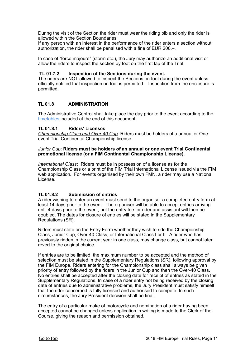During the visit of the Section the rider must wear the riding bib and only the rider is allowed within the Section Boundaries.

If any person with an interest in the performance of the rider enters a section without authorization, the rider shall be penalised with a fine of EUR 200.–.

In case of "force majeure" (storm etc.), the Jury may authorize an additional visit or allow the riders to inspect the section by foot on the first lap of the Trial.

#### **TL 01.7.2 Inspection of the Sections during the event.**

The riders are NOT allowed to inspect the Sections on foot during the event unless officially notified that inspection on foot is permitted. Inspection from the enclosure is permitted.

#### <span id="page-10-0"></span>**TL 01.8 ADMINISTRATION**

The Administrative Control shall take place the day prior to the event according to the [timetables](#page-50-0) included at the end of this document.

#### **TL 01.8.1 Riders' Licenses**

*Championship Class and Over-40 Cup:* Riders must be holders of a annual or One event Trial Continental Championship license.

#### *Junior Cup*: **Riders must be holders of an annual or one event Trial Continental promotional license (or a FIM Continental Championship License).**

*International Class:* Riders must be in possession of a license as for the Championship Class or a print of the FIM Trial International License issued via the FIM web application**.** For events organised by their own FMN, a rider may use a National License.

#### **TL 01.8.2 Submission of entries**

A rider wishing to enter an event must send to the organiser a completed entry form at least 14 days prior to the event. The organiser will be able to accept entries arriving until 4 days prior to the event, but the entry fee for rider and assistant will then be doubled. The dates for closure of entries will be stated in the Supplementary Regulations (SR).

Riders must state on the Entry Form whether they wish to ride the Championship Class, Junior Cup, Over-40 Class, or International Class I or II. A rider who has previously ridden in the current year in one class, may change class, but cannot later revert to the original choice.

If entries are to be limited, the maximum number to be accepted and the method of selection must be stated in the Supplementary Regulations (SR), following approval by the FIM Europe. Riders entering for the Championship class shall always be given priority of entry followed by the riders in the Junior Cup and then the Over-40 Class. No entries shall be accepted after the closing date for receipt of entries as stated in the Supplementary Regulations. In case of a rider entry not being received by the closing date of entries due to administrative problems, the Jury President must satisfy himself that the rider concerned is fully licensed and authorised to compete. In such circumstances, the Jury President decision shall be final.

The entry of a particular make of motorcycle and nomination of a rider having been accepted cannot be changed unless application in writing is made to the Clerk of the Course, giving the reason and permission obtained.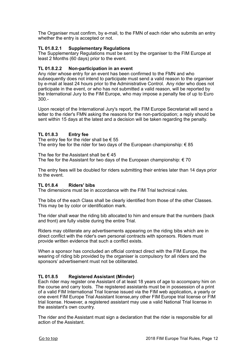The Organiser must confirm, by e-mail, to the FMN of each rider who submits an entry whether the entry is accepted or not.

#### **TL 01.8.2.1 Supplementary Regulations**

The Supplementary Regulations must be sent by the organiser to the FIM Europe at least 2 Months (60 days) prior to the event.

#### **TL 01.8.2.2 Non-participation in an event**

Any rider whose entry for an event has been confirmed to the FMN and who subsequently does not intend to participate must send a valid reason to the organiser by e-mail at least 24 hours prior to the Administrative Control. Any rider who does not participate in the event, or who has not submitted a valid reason, will be reported by the International Jury to the FIM Europe, who may impose a penalty fee of up to Euro 300.-

Upon receipt of the International Jury's report, the FIM Europe Secretariat will send a letter to the rider's FMN asking the reasons for the non-participation; a reply should be sent within 15 days at the latest and a decision will be taken regarding the penalty.

#### **TL 01.8.3 Entry fee**

The entry fee for the rider shall be  $\epsilon$  55 The entry fee for the rider for two days of the European championship:  $\epsilon$  85

The fee for the Assistant shall be  $\epsilon$  45 The fee for the Assistant for two days of the European championship:  $\epsilon$  70

The entry fees will be doubled for riders submitting their entries later than 14 days prior to the event.

#### **TL 01.8.4 Riders' bibs**

The dimensions must be in accordance with the FIM Trial technical rules.

The bibs of the each Class shall be clearly identified from those of the other Classes. This may be by color or identification mark.

The rider shall wear the riding bib allocated to him and ensure that the numbers (back and front) are fully visible during the entire Trial.

Riders may obliterate any advertisements appearing on the riding bibs which are in direct conflict with the rider's own personal contracts with sponsors. Riders must provide written evidence that such a conflict exists.

When a sponsor has concluded an official contract direct with the FIM Europe, the wearing of riding bib provided by the organiser is compulsory for all riders and the sponsors' advertisement must not be obliterated.

#### **TL 01.8.5 Registered Assistant (Minder)**

Each rider may register one Assistant of at least 18 years of age to accompany him on the course and carry tools. The registered assistants must be in possession of a print of a valid FIM International Trial license issued via the FIM web application**,** a yearly or one event FIM Europe Trial Assistant license,any other FIM Europe trial license or FIM trial license. However, a registered assistant may use a valid National Trial license in the assistant's own country.

The rider and the Assistant must sign a declaration that the rider is responsible for all action of the Assistant.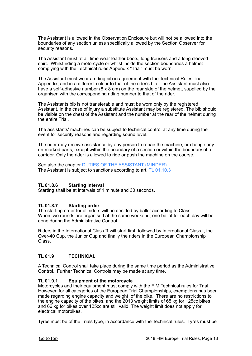The Assistant is allowed in the Observation Enclosure but will not be allowed into the boundaries of any section unless specifically allowed by the Section Observer for security reasons.

The Assistant must at all time wear leather boots, long trousers and a long sleeved shirt. Whilst riding a motorcycle or whilst inside the section boundaries a helmet complying with the Technical rules Appendix "Trial" must be worn.

The Assistant must wear a riding bib in agreement with the Technical Rules Trial Appendix, and in a different colour to that of the rider's bib. The Assistant must also have a self-adhesive number (8 x 8 cm) on the rear side of the helmet, supplied by the organiser, with the corresponding riding number to that of the rider.

The Assistants bib is not transferable and must be worn only by the registered Assistant. In the case of injury a substitute Assistant may be registered. The bib should be visible on the chest of the Assistant and the number at the rear of the helmet during the entire Trial.

The assistants' machines can be subject to technical control at any time during the event for security reasons and regarding sound level.

The rider may receive assistance by any person to repair the machine, or change any un-marked parts, except within the boundary of a section or within the boundary of a corridor. Only the rider is allowed to ride or push the machine on the course.

See also the chapter [DUTIES OF THE ASSISTANT \(MINDER\)](#page-49-0) The Assistant is subject to sanctions according to art. **TL 01.10.3** 

#### **TL 01.8.6 Starting interval**

Starting shall be at intervals of 1 minute and 30 seconds.

#### **TL 01.8.7 Starting order**

The starting order for all riders will be decided by ballot according to Class. When two rounds are organised at the same weekend, one ballot for each day will be done during the Administrative Control.

Riders in the International Class II will start first, followed by International Class I, the Over-40 Cup, the Junior Cup and finally the riders in the European Championship Class.

#### <span id="page-12-0"></span>**TL 01.9 TECHNICAL**

A Technical Control shall take place during the same time period as the Administrative Control. Further Technical Controls may be made at any time.

#### **TL 01.9.1 Equipment of the motorcycle**

Motorcycles and their equipment must comply with the FIM Technical rules for Trial. However, for all categories of the European Trial Championships, exemptions has been made regarding engine capacity and weight of the bike. There are no restrictions to the engine capacity of the bikes, and the 2013 weight limits of 65 kg for 125cc bikes and 66 kg for bikes over 125cc are still valid. The weight limit does not apply for electrical motorbikes.

Tyres must be of the Trials type, in accordance with the Technical rules. Tyres must be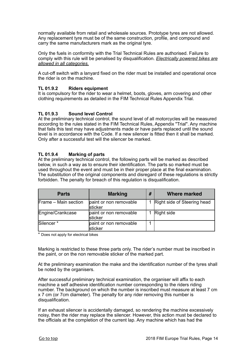normally available from retail and wholesale sources. Prototype tyres are not allowed. Any replacement tyre must be of the same construction, profile, and compound and carry the same manufacturers mark as the original tyre.

Only the fuels in conformity with the Trial Technical Rules are authorised. Failure to comply with this rule will be penalised by disqualification. *Electrically powered bikes are allowed in all categories.*

A cut-off switch with a lanyard fixed on the rider must be installed and operational once the rider is on the machine.

#### **TL 01.9.2 Riders equipment**

It is compulsory for the rider to wear a helmet, boots, gloves, arm covering and other clothing requirements as detailed in the FIM Technical Rules Appendix Trial.

#### **TL 01.9.3 Sound level Control**

At the preliminary technical control, the sound level of all motorcycles will be measured according to the rules stated in the FIM Technical Rules, Appendix "Trial". Any machine that fails this test may have adjustments made or have parts replaced until the sound level is in accordance with the Code. If a new silencer is fitted then it shall be marked. Only after a successful test will the silencer be marked.

#### <span id="page-13-0"></span>**TL 01.9.4 Marking of parts**

At the preliminary technical control, the following parts will be marked as described below, in such a way as to ensure their identification. The parts so marked must be used throughout the event and must be in their proper place at the final examination. The substitution of the original components and disregard of these regulations is strictly forbidden. The penalty for breach of this regulation is disqualification.

| <b>Parts</b>          | <b>Marking</b>                     | # | <b>Where marked</b>         |
|-----------------------|------------------------------------|---|-----------------------------|
| Frame - Main section  | paint or non removable<br>sticker  |   | Right side of Steering head |
| Engine/Crankcase      | paint or non removable<br>sticker  |   | Right side                  |
| Silencer <sup>*</sup> | paint or non removable<br>İsticker |   |                             |

\* Does not apply for electrical bikes

Marking is restricted to these three parts only. The rider's number must be inscribed in the paint, or on the non removable sticker of the marked part.

At the preliminary examination the make and the identification number of the tyres shall be noted by the organisers.

After successful preliminary technical examination, the organiser will affix to each machine a self adhesive identification number corresponding to the riders riding number. The background on which the number is inscribed must measure at least 7 cm x 7 cm (or 7cm diameter). The penalty for any rider removing this number is disqualification.

If an exhaust silencer is accidentally damaged, so rendering the machine excessively noisy, then the rider may replace the silencer. However, this action must be declared to the officials at the completion of the current lap. Any machine which has had the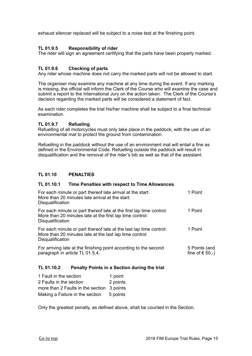exhaust silencer replaced will be subject to a noise test at the finishing point.

#### **TL 01.9.5 Responsibility of rider**

The rider will sign an agreement certifying that the parts have been properly marked.

#### **TL 01.9.6 Checking of parts**

Any rider whose machine does not carry the marked parts will not be allowed to start.

The organiser may examine any machine at any time during the event. If any marking is missing, the official will inform the Clerk of the Course who will examine the case and submit a report to the International Jury on the action taken. The Clerk of the Course's decision regarding the marked parts will be considered a statement of fact.

As each rider completes the trial his/her machine shall be subject to a final technical examination.

#### **TL 01.9.7 Refueling**

Refuelling of all motorcycles must only take place in the paddock, with the use of an environmental mat to protect the ground from contamination.

Refuelling in the paddock without the use of an environment mat will entail a fine as defined in the Environmental Code. Refuelling outside the paddock will result in disqualification and the removal of the rider's bib as well as that of the assistant.

#### <span id="page-14-0"></span>**TL 01.10 PENALTIES**

#### **TL 01.10.1 Time Penalties with respect to Time Allowances**

| For each minute or part thereof late arrival at the start:<br>More than 20 minutes late arrival at the start:<br><b>Disqualification</b>            | 1 Point                              |
|-----------------------------------------------------------------------------------------------------------------------------------------------------|--------------------------------------|
| For each minute or part thereof late at the first lap time control:<br>More than 20 minutes late at the first lap time control:<br>Disqualification | 1 Point                              |
| For each minute or part thereof late at the last lap time control:<br>More than 20 minutes late at the last lap time control:<br>Disqualification   | 1 Point                              |
| For arriving late at the finishing point according to the second<br>paragraph in article TL 01.5.4.                                                 | 5 Points (and<br>fine of $\in$ 50,-) |
|                                                                                                                                                     |                                      |

#### **TL 01.10.2 Penalty Points in a Section during the trial**

| 1 Fault in the section                     | 1 point  |
|--------------------------------------------|----------|
| 2 Faults in the section                    | 2 points |
| more than 2 Faults in the section 3 points |          |
| Making a Failure in the section            | 5 points |

Only the greatest penalty, as defined above, shall be counted in the Section.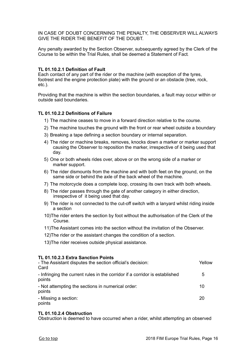IN CASE OF DOUBT CONCERNING THE PENALTY, THE OBSERVER WILL ALWAYS GIVE THE RIDER THE BENEFIT OF THE DOUBT.

Any penalty awarded by the Section Observer, subsequently agreed by the Clerk of the Course to be within the Trial Rules, shall be deemed a Statement of Fact*.*

#### **TL 01.10.2.1 Definition of Fault**

Each contact of any part of the rider or the machine (with exception of the tyres, footrest and the engine protection plate) with the ground or an obstacle (tree, rock, etc.).

Providing that the machine is within the section boundaries, a fault may occur within or outside said boundaries.

#### **TL 01.10.2.2 Definitions of Failure**

- 1) The machine ceases to move in a forward direction relative to the course.
- 2) The machine touches the ground with the front or rear wheel outside a boundary
- 3) Breaking a tape defining a section boundary or internal separation.
- 4) The rider or machine breaks, removes, knocks down a marker or marker support causing the Observer to reposition the marker, irrespective of it being used that day.
- 5) One or both wheels rides over, above or on the wrong side of a marker or marker support.
- 6) The rider dismounts from the machine and with both feet on the ground, on the same side or behind the axle of the back wheel of the machine.
- 7) The motorcycle does a complete loop, crossing its own track with both wheels.
- 8) The rider passes through the gate of another category in either direction, irrespective of it being used that day.
- 9) The rider is not connected to the cut-off switch with a lanyard whilst riding inside a section
- 10)The rider enters the section by foot without the authorisation of the Clerk of the Course.
- 11)The Assistant comes into the section without the invitation of the Observer.
- 12)The rider or the assistant changes the condition of a section.
- 13)The rider receives outside physical assistance.

#### **TL 01.10.2.3 Extra Sanction Points**

| - The Assistant disputes the section official's decision:<br>Card                     | Yellow |
|---------------------------------------------------------------------------------------|--------|
| - Infringing the current rules in the corridor if a corridor is established<br>points | 5      |
| - Not attempting the sections in numerical order:<br>points                           | 10     |
| - Missing a section:<br>points                                                        | 20     |

#### **TL 01.10.2.4 Obstruction**

Obstruction is deemed to have occurred when a rider, whilst attempting an observed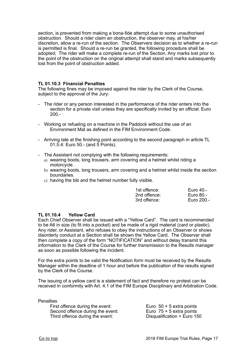section, is prevented from making a bona-fide attempt due to some unauthorised obstruction. Should a rider claim an obstruction, the observer may, at his/her discretion, allow a re-run of the section. The Observers decision as to whether a re-run is permitted is final. Should a re-run be granted, the following procedure shall be adopted; The rider will make a complete re-run of the Section. Any marks lost prior to the point of the obstruction on the original attempt shall stand and marks subsequently lost from the point of obstruction added.

#### **TL 01.10.3 Financial Penalties**

The following fines may be imposed against the rider by the Clerk of the Course, subject to the approval of the Jury:

- The rider or any person interested in the performance of the rider enters into the section for a private visit unless they are specifically invited by an official: Euro 200.-
- Working or refueling on a machine in the Paddock without the use of an Environment Mat as defined in the FIM Environment Code.
- Arriving late at the finishing point according to the second paragraph in article TL 01.5.4: Euro 50.- (and 5 Points).
- The Assistant not complying with the following requirements:
	- a) wearing boots, long trousers, arm covering and a helmet whilst riding a motorcycle.
	- b) wearing boots, long trousers, arm covering and a helmet whilst inside the section boundaries.
	- c) having the bib and the helmet number fully visible.

| 1st offence: | Euro 40.-  |
|--------------|------------|
| 2nd offence: | Euro 80.-  |
| 3rd offence: | Euro 200.- |

#### **TL 01.10.4 Yellow Card**

Each Chief Observer shall be issued with a "Yellow Card". The card is recommended to be A6 in size (to fit into a pocket) and be made of a rigid material (card or plastic). Any rider, or Assistant, who refuses to obey the instructions of an Observer or shows disorderly conduct at a Section shall be shown the Yellow Card. The Observer shall then complete a copy of the form "NOTIFICATION" and without delay transmit this information to the Clerk of the Course for further transmission to the Results manager as soon as possible following the incident.

For the extra points to be valid the Notification form must be received by the Results Manager within the deadline of 1 hour and before the publication of the results signed by the Clerk of the Course.

The issuing of a yellow card is a statement of fact and therefore no protest can be received in conformity with Art. 4.1 of the FIM Europe Disciplinary and Arbitration Code.

**Penalties** 

First offence during the event:<br>
Second offence during the event:<br>
Third offence during the event:<br>
Euro 75 + 5 extra points<br>
Discussification 1 Euro 15 First offence during the event:<br>Second offence during the event:<br>Third offence during the event: Third offence during the event: Disqualification + Euro 150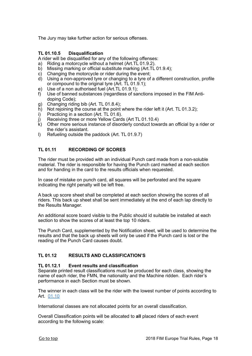The Jury may take further action for serious offenses.

#### **TL 01.10.5 Disqualification**

A rider will be disqualified for any of the following offenses:

- a) Riding a motorcycle without a helmet (Art.TL 01.9.2).<br>b) Missing marking or official substitute marking (Art.TL
- b) Missing marking or official substitute marking (Art.TL 01.9.4);
- c) Changing the motorcycle or rider during the event;
- d) Using a non-approved tyre or changing to a tyre of a different construction, profile or compound to the original tyre (Art. TL 01.9.1);
- e) Use of a non authorised fuel (Art.TL 01.9.1);
- f) Use of banned substances (regardless of sanctions imposed in the FIM Antidoping Code);
- g) Changing riding bib (Art. TL 01.8.4);
- h) Not rejoining the course at the point where the rider left it (Art. TL 01.3.2);
- i) Practicing in a section (Art. TL 01.6).
- j) Receiving three or more Yellow Cards (Art TL 01.10.4)
- k) Other more serious instance of disorderly conduct towards an official by a rider or the rider's assistant.
- l) Refueling outside the paddock (Art. TL 01.9.7)

#### <span id="page-17-0"></span>**TL 01.11 RECORDING OF SCORES**

The rider must be provided with an individual Punch card made from a non-soluble material. The rider is responsible for having the Punch card marked at each section and for handing in the card to the results officials when requested.

In case of mistake on punch card, all squares will be perforated and the square indicating the right penalty will be left free.

A back up score sheet shall be completed at each section showing the scores of all riders. This back up sheet shall be sent immediately at the end of each lap directly to the Results Manager.

An additional score board visible to the Public should id suitable be installed at each section to show the scores of at least the top 10 riders.

The Punch Card, supplemented by the Notification sheet, will be used to determine the results and that the back up sheets will only be used if the Punch card is lost or the reading of the Punch Card causes doubt.

#### <span id="page-17-1"></span>**TL 01.12 RESULTS AND CLASSIFICATION'S**

#### **TL 01.12.1 Event results and classification**

Separate printed result classifications must be produced for each class, showing the name of each rider, the FMN, the nationality and the Machine ridden. Each rider's performance in each Section must be shown.

The winner in each class will be the rider with the lowest number of points according to Art. [01.10](#page-14-0)

International classes are not allocated points for an overall classification.

Overall Classification points will be allocated to **all** placed riders of each event according to the following scale: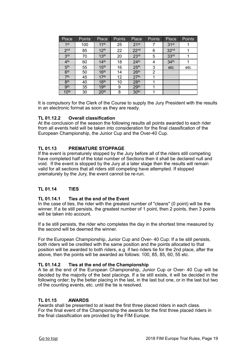| Place            | Points | Place            | <b>Points</b> | Place            | <b>Points</b> | Place            | Points |
|------------------|--------|------------------|---------------|------------------|---------------|------------------|--------|
| 1 <sup>st</sup>  | 100    | 11 <sup>th</sup> | 25            | 21 <sup>st</sup> |               | 31 <sup>st</sup> |        |
| 2 <sub>nd</sub>  | 85     | 12 <sup>th</sup> | 22            | 22 <sup>nd</sup> | 6             | 32 <sup>nd</sup> |        |
| 3 <sup>rd</sup>  | 70     | 13 <sup>th</sup> | 20            | 23 <sup>rd</sup> | 5             | 33 <sup>rd</sup> |        |
| 4 <sup>th</sup>  | 60     | 14 <sup>th</sup> | 18            | 24 <sup>th</sup> | 4             | 34 <sup>th</sup> |        |
| 5 <sup>th</sup>  | 55     | 15 <sup>th</sup> | 16            | 25 <sup>th</sup> | 3             | etc              | etc    |
| 6 <sup>th</sup>  | 50     | 16 <sup>th</sup> | 14            | 26 <sup>th</sup> | 2             |                  |        |
| 7 <sup>th</sup>  | 45     | 17 <sup>th</sup> | 12            | 27 <sup>th</sup> |               |                  |        |
| 8 <sup>th</sup>  | 40     | 18 <sup>th</sup> | 10            | 28 <sup>th</sup> | 1             |                  |        |
| gth              | 35     | 19 <sup>th</sup> | 9             | 29 <sup>th</sup> |               |                  |        |
| 10 <sup>th</sup> | 30     | 20 <sup>th</sup> | 8             | 30 <sup>th</sup> |               |                  |        |

It is compulsory for the Clerk of the Course to supply the Jury President with the results in an electronic format as soon as they are ready.

#### **TL 01.12.2 Overall classification**

At the conclusion of the season the following results all points awarded to each rider from all events held will be taken into consideration for the final classification of the European Championship, the Junior Cup and the Over-40 Cup.

#### <span id="page-18-0"></span>**TL 01.13 PREMATURE STOPPAGE**

If the event is prematurely stopped by the Jury before all of the riders still competing have completed half of the total number of Sections then it shall be declared null and void. If the event is stopped by the Jury at a later stage then the results will remain valid for all sections that all riders still competing have attempted. If stopped prematurely by the Jury, the event cannot be re-run.

#### <span id="page-18-1"></span>**TL 01.14 TIES**

#### **TL 01.14.1 Ties at the end of the Event**

In the case of ties, the rider with the greatest number of "cleans" (0 point) will be the winner. If a tie still persists, the greatest number of 1 point, then 2 points, then 3 points will be taken into account.

If a tie still persists, the rider who completes the day in the shortest time measured by the second will be deemed the winner.

For the European Championship, Junior Cup and Over- 40 Cup: If a tie still persists, both riders will be credited with the same position and the points allocated to that position will be awarded to both riders, e.g. if two riders tie for the 2nd place, after the above, then the points will be awarded as follows: 100, 85, 85, 60, 55 etc.

#### **TL 01.14.2 Ties at the end of the Championship**

A tie at the end of the European Championship, Junior Cup or Over- 40 Cup will be decided by the majority of the best placings. If a tie still exists, it will be decided in the following order; by the better placing in the last, in the last but one, or in the last but two of the counting events, etc. until the tie is resolved.

#### <span id="page-18-2"></span>**TL 01.15 AWARDS**

Awards shall be presented to at least the first three placed riders in each class. For the final event of the Championship the awards for the first three placed riders in the final classification are provided by the FIM Europe.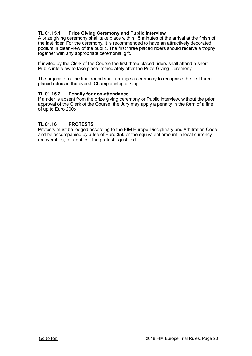#### **TL 01.15.1 Prize Giving Ceremony and Public interview**

A prize giving ceremony shall take place within 15 minutes of the arrival at the finish of the last rider. For the ceremony, it is recommended to have an attractively decorated podium in clear view of the public. The first three placed riders should receive a trophy together with any appropriate ceremonial gift.

If invited by the Clerk of the Course the first three placed riders shall attend a short Public interview to take place immediately after the Prize Giving Ceremony.

The organiser of the final round shall arrange a ceremony to recognise the first three placed riders in the overall Championship or Cup.

#### **TL 01.15.2 Penalty for non-attendance**

If a rider is absent from the prize giving ceremony or Public interview, without the prior approval of the Clerk of the Course, the Jury may apply a penalty in the form of a fine of up to Euro 200:-

#### <span id="page-19-0"></span>**TL 01.16 PROTESTS**

Protests must be lodged according to the FIM Europe Disciplinary and Arbitration Code and be accompanied by a fee of Euro **350** or the equivalent amount in local currency (convertible), returnable if the protest is justified.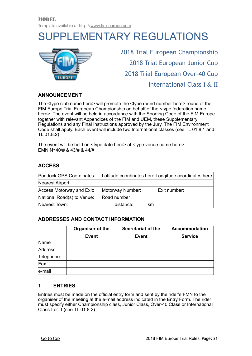## <span id="page-20-0"></span>SUPPLEMENTARY REGULATIONS



2018 Trial European Championship 2018 Trial European Junior Cup 2018 Trial European Over-40 Cup International Class I & II

#### **ANNOUNCEMENT**

The <type club name here> will promote the <type round number here> round of the FIM Europe Trial European Championship on behalf of the <type federation name here>. The event will be held in accordance with the Sporting Code of the FIM Europe together with relevant Appendices of the FIM and UEM, these Supplementary Regulations and any Final Instructions approved by the Jury. The FIM Environment Code shall apply. Each event will include two International classes (see TL 01.8.1 and TL 01.8.2)

The event will be held on <type date here> at <type venue name here>. EMN No 40/# & 43/# & 44/#

#### **ACCESS**

| Paddock GPS Coordinates:   | Latitude coordinates here Longitude coordinates here |              |  |
|----------------------------|------------------------------------------------------|--------------|--|
| Nearest Airport:           |                                                      |              |  |
| Access Motorway and Exit:  | Motorway Number:                                     | Exit number: |  |
| National Road(s) to Venue: | Road number                                          |              |  |
| Nearest Town:              | distance:                                            | km           |  |

#### **ADDRESSES AND CONTACT INFORMATION**

|           | Organiser of the | <b>Secretariat of the</b> | <b>Accommodation</b> |
|-----------|------------------|---------------------------|----------------------|
|           | <b>Event</b>     | <b>Event</b>              | <b>Service</b>       |
| Name      |                  |                           |                      |
| Address   |                  |                           |                      |
| Telephone |                  |                           |                      |
| Fax       |                  |                           |                      |
| e-mail    |                  |                           |                      |

#### **1 ENTRIES**

Entries must be made on the official entry form and sent by the rider's FMN to the organiser of the meeting at the e-mail address indicated in the Entry Form. The rider must specify either Championship class, Junior Class, Over-40 Class or International Class I or II (see TL 01.8.2).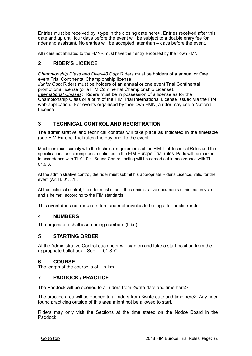Entries must be received by <type in the closing date here>. Entries received after this date and up until four days before the event will be subject to a double entry fee for rider and assistant. No entries will be accepted later than 4 days before the event.

All riders not affiliated to the FMNR must have their entry endorsed by their own FMN.

#### **2 RIDER'S LICENCE**

License.

*Championship Class and Over-40 Cup:* Riders must be holders of a annual or One event Trial Continental Championship license.

*Junior Cup*: Riders must be holders of an annual or one event Trial Continental promotional license (or a FIM Continental Championship License). *International Classes:* Riders must be in possession of a license as for the Championship Class or a print of the FIM Trial International License issued via the FIM web application**.** For events organised by their own FMN, a rider may use a National

#### **3 TECHNICAL CONTROL AND REGISTRATION**

The administrative and technical controls will take place as indicated in the timetable (see FIM Europe Trial rules) the day prior to the event.

Machines must comply with the technical requirements of the FIM Trial Technical Rules and the specifications and exemptions mentioned in the FIM Europe Trial rules. Parts will be marked in accordance with TL 01.9.4. Sound Control testing will be carried out in accordance with TL 01.9.3.

At the administrative control, the rider must submit his appropriate Rider's Licence, valid for the event (Art TL 01.8.1).

At the technical control, the rider must submit the administrative documents of his motorcycle and a helmet, according to the FIM standards.

This event does not require riders and motorcycles to be legal for public roads.

#### **4 NUMBERS**

The organisers shall issue riding numbers (bibs).

#### **5 STARTING ORDER**

At the Administrative Control each rider will sign on and take a start position from the appropriate ballot box. (See TL 01.8.7).

#### **6 COURSE**

The length of the course is of  $\times$  km.

#### **7 PADDOCK / PRACTICE**

The Paddock will be opened to all riders from <write date and time here>.

The practice area will be opened to all riders from <write date and time here>. Any rider found practicing outside of this area might not be allowed to start.

Riders may only visit the Sections at the time stated on the Notice Board in the Paddock.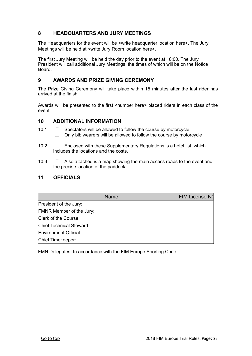#### **8 HEADQUARTERS AND JURY MEETINGS**

The Headquarters for the event will be <write headquarter location here>. The Jury Meetings will be held at <write Jury Room location here>.

The first Jury Meeting will be held the day prior to the event at 18:00. The Jury President will call additional Jury Meetings, the times of which will be on the Notice Board.

#### **9 AWARDS AND PRIZE GIVING CEREMONY**

The Prize Giving Ceremony will take place within 15 minutes after the last rider has arrived at the finish.

Awards will be presented to the first <number here> placed riders in each class of the event.

#### **10 ADDITIONAL INFORMATION**

- 10.1  $\Box$  Spectators will be allowed to follow the course by motorcycle  $\Box$  Only bib wearers will be allowed to follow the course by motorcycle
- 10.2  $\Box$  Enclosed with these Supplementary Regulations is a hotel list, which includes the locations and the costs.
- 10.3  $\Box$  Also attached is a map showing the main access roads to the event and the precise location of the paddock.

#### **11 OFFICIALS**

|                          | <b>Name</b> | FIM License Nº |
|--------------------------|-------------|----------------|
| President of the Jury:   |             |                |
| FMNR Member of the Jury: |             |                |
| Clerk of the Course:     |             |                |
| Chief Technical Steward: |             |                |
| Environment Official:    |             |                |
| Chief Timekeeper:        |             |                |

FMN Delegates: In accordance with the FIM Europe Sporting Code.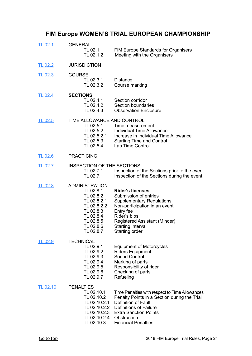## <span id="page-23-0"></span>**FIM Europe WOMEN'S TRIAL EUROPEAN CHAMPIONSHIP**

| <b>TL 02.1</b>  | <b>GENERAL</b><br>TL 02.1.1<br>TL 02.1.2                                                                                                | <b>FIM Europe Standards for Organisers</b><br>Meeting with the Organisers                                                                                                                                                           |
|-----------------|-----------------------------------------------------------------------------------------------------------------------------------------|-------------------------------------------------------------------------------------------------------------------------------------------------------------------------------------------------------------------------------------|
| <b>TL 02.2</b>  | <b>JURISDICTION</b>                                                                                                                     |                                                                                                                                                                                                                                     |
| <b>TL 02.3</b>  | <b>COURSE</b><br>TL 02.3.1<br>TL 02.3.2                                                                                                 | <b>Distance</b><br>Course marking                                                                                                                                                                                                   |
| <b>TL 02.4</b>  | <b>SECTIONS</b><br>TL 02.4.1<br>TL 02.4.2<br>TL 02.4.3                                                                                  | Section corridor<br>Section boundaries<br><b>Observation Enclosure</b>                                                                                                                                                              |
| <b>TL 02.5</b>  | TIME ALLOWANCE AND CONTROL<br>TL 02.5.1<br>TL 02.5.2<br>TL 02.5.2.1<br>TL 02.5.3<br>TL 02.5.4                                           | Time measurement<br><b>Individual Time Allowance</b><br>Increase in Individual Time Allowance<br><b>Starting Time and Control</b><br>Lap Time Control                                                                               |
| <b>TL 02.6</b>  | <b>PRACTICING</b>                                                                                                                       |                                                                                                                                                                                                                                     |
| <u>TL 02.7</u>  | INSPECTION OF THE SECTIONS<br>TL 02.7.1<br>TL 02.7.1                                                                                    | Inspection of the Sections prior to the event.<br>Inspection of the Sections during the event.                                                                                                                                      |
| <b>TL 02.8</b>  | ADMINISTRATION<br>TL 02.8.1<br>TL 02.8.2<br>TL 02.8.2.1<br>TL 02.8.2.2<br>TL 02.8.3<br>TL 02.8.4<br>TL 02.8.5<br>TL 02.8.6<br>TL 02.8.7 | <b>Rider's licenses</b><br>Submission of entries<br><b>Supplementary Regulations</b><br>Non-participation in an event<br>Entry fee<br>Rider's bibs<br>Registered Assistant (Minder)<br>Starting interval<br>Starting order          |
| TL 02.9         | <b>TECHNICAL</b><br>TL 02.9.1<br>TL 02.9.2<br>TL 02.9.3<br>TL 02.9.4<br>TL 02.9.5<br>TL 02.9.6<br>TL 02.9.7                             | <b>Equipment of Motorcycles</b><br><b>Riders Equipment</b><br>Sound Control.<br>Marking of parts<br>Responsibility of rider<br>Checking of parts<br>Refueling                                                                       |
| <b>TL 02.10</b> | <b>PENALTIES</b><br>TL 02.10.1<br>TL 02.10.2<br>TL 02.10.2.1<br>TL 02.10.2.2<br>TL 02.10.2.3<br>TL 02.10.2.4<br>TL 02.10.3              | Time Penalties with respect to Time Allowances<br>Penalty Points in a Section during the Trial<br>Definition of Fault<br><b>Definitions of Failure</b><br><b>Extra Sanction Points</b><br>Obstruction<br><b>Financial Penalties</b> |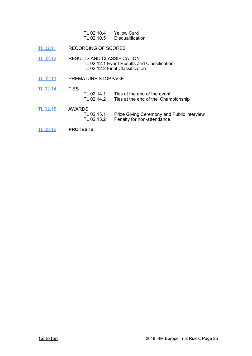| TL 02.10.4 | <b>Yellow Card</b> |
|------------|--------------------|
| TL 02.10.5 | Disqualification   |

- [TL 02.11](#page-29-0) RECORDING OF SCORES
- [TL 02.12](#page-29-1) RESULTS AND CLASSIFICATION TL 02.12.1 Event Results and Classification TL 02.12.2 Final Classification
- [TL 02.13](#page-29-2) PREMATURE STOPPAGE
- [TL 02.14](#page-29-3) TIES TL 02.14.1 Ties at the end of the event<br>TL 02.14.2 Ties at the end of the Cham Ties at the end of the Championship
- [TL 02.15](#page-29-4) AWARDS<br>TL 02.15.1 TL 02.15.1 Prize Giving Ceremony and Public interview<br>TL 02.15.2 Penalty for non-attendance Penalty for non-attendance
- [TL 02.16](#page-29-5) **PROTESTS**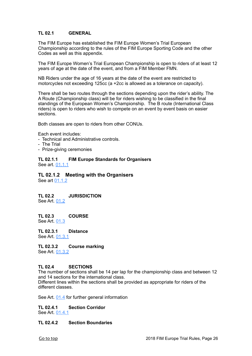#### <span id="page-25-0"></span>**TL 02.1 GENERAL**

The FIM Europe has established the FIM Europe Women's Trial European Championship according to the rules of the FIM Europe Sporting Code and the other Codes as well as this appendix.

The FIM Europe Women's Trial European Championship is open to riders of at least 12 years of age at the date of the event, and from a FIM Member FMN.

NB Riders under the age of 16 years at the date of the event are restricted to motorcycles not exceeding 125cc (a +2cc is allowed as a tolerance on capacity).

There shall be two routes through the sections depending upon the rider's ability. The A Route (Championship class) will be for riders wishing to be classified in the final standings of the European Women's Championship. The B route (International Class riders) is open to riders who wish to compete on an event by event basis on easier sections.

Both classes are open to riders from other CONUs.

Each event includes:

- Technical and Administrative controls.

- The Trial
- Prize-giving ceremonies

**TL 02.1.1 FIM Europe Standards for Organisers** See art. [01.1.1](#page-5-0)

#### **TL 02.1.2 Meeting with the Organisers**

See art [01.1.2](#page-5-0)

<span id="page-25-1"></span>**TL 02.2 JURISDICTION** See Art. [01.2](#page-6-0)

<span id="page-25-2"></span>**TL 02.3 COURSE** See Art. [01.3](#page-6-1)

**TL 02.3.1 Distance** See Art. [01.3.1](#page-6-1)

**TL 02.3.2 Course marking** See Art. [01.3.2](#page-6-1)

#### <span id="page-25-3"></span>**TL 02.4 SECTIONS**

The number of sections shall be 14 per lap for the championship class and between 12 and 14 sections for the international class. Different lines within the sections shall be provided as appropriate for riders of the different classes.

See Art. [01.4](#page-7-0) for further general information

#### **TL 02.4.1 Section Corridor**

See Art. [01.4.1](#page-7-0)

#### **TL 02.4.2 Section Boundaries**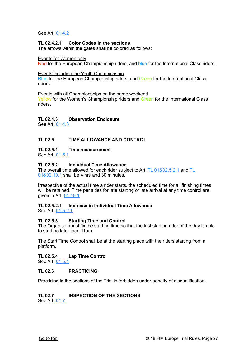See Art. [01.4.2](#page-7-0)

#### **TL 02.4.2.1 Color Codes in the sections**

The arrows within the gates shall be colored as follows:

#### Events for Women only.

Red for the European Championship riders, and blue for the International Class riders.

#### Events including the Youth Championship

Blue for the European Championship riders, and Green for the International Class riders.

Events with all Championships on the same weekend Yellow for the Women's Championship riders and Green for the International Class riders.

#### **TL 02.4.3 Observation Enclosure**

See Art. [01.4.3](#page-7-0)

#### <span id="page-26-0"></span>**TL 02.5 TIME ALLOWANCE AND CONTROL**

#### **TL 02.5.1 Time measurement**

See Art. [01.5.1](#page-9-0)

#### **TL 02.5.2 Individual Time Allowance**

The overall time allowed for each rider subject to Art. [TL 01&02.5.2.1](#page-9-0) and TL [01&02.10.1](#page-14-0) shall be 4 hrs and 30 minutes.

Irrespective of the actual time a rider starts, the scheduled time for all finishing times will be retained. Time penalties for late starting or late arrival at any time control are given in Art. [01.10.1](#page-14-0)

#### **TL 02.5.2.1 Increase in Individual Time Allowance**

See Art. [01.5.2.1](#page-9-0)

#### **TL 02.5.3 Starting Time and Control**

The Organiser must fix the starting time so that the last starting rider of the day is able to start no later than 11am.

The Start Time Control shall be at the starting place with the riders starting from a platform.

#### **TL 02.5.4 Lap Time Control**

See Art. [01.5.4](#page-9-0)

#### <span id="page-26-1"></span>**TL 02.6 PRACTICING**

Practicing in the sections of the Trial is forbidden under penalty of disqualification.

#### <span id="page-26-2"></span>**TL 02.7 INSPECTION OF THE SECTIONS**

See Art. [01.7](#page-9-2)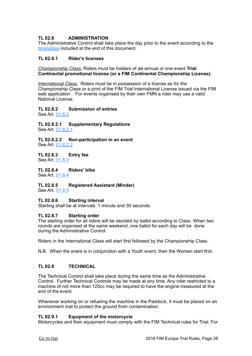#### <span id="page-27-0"></span>**TL 02.8 ADMINISTRATION**

The Administrative Control shall take place the day prior to the event according to the [timetables](#page-50-0) included at the end of this document.

#### **TL 02.8.1 Rider's licenses**

*Championship Class:* Riders must be holders of a**n** annual or one event **Trial Continental promotional license (or a FIM Continental Championship License).**

*International Class:* Riders must be in possession of a license as for the Championship Class or a print of the FIM Trial International License issued via the FIM web application . For events organised by their own FMN a rider may use a valid National License.

#### **TL 02.8.2 Submission of entries**

See Art. [01.8.2](#page-10-0)

**TL 02.8.2.1 Supplementary Regulations** See Art. [01.8.2.1](#page-10-0)

**TL 02.8.2.2 Non-participation in an event** See Art. [01.8.2.2](#page-10-0)

**TL 02.8.3 Entry fee** See Art. [01.8.3](#page-10-0)

**TL 02.8.4 Riders' bibs** See Art. [01.8.4](#page-10-0)

**TL 02.8.5 Registered Assistant (Minder)** See Art. [01.8.5](#page-10-0)

#### **TL 02.8.6 Starting interval**

Starting shall be at intervals 1 minute and 30 seconds.

#### **TL 02.8.7 Starting order**

The starting order for all riders will be decided by ballot according to Class. When two rounds are organised at the same weekend, one ballot for each day will be done during the Administrative Control.

Riders in the International Class will start first followed by the Championship Class.

N.B. When the event is in conjunction with a Youth event, then the Women start first.

#### <span id="page-27-1"></span>**TL 02.9 TECHNICAL**

The Technical Control shall take place during the same time as the Administrative Control. Further Technical Controls may be made at any time. Any rider restricted to a machine of not more than 125cc may be required to have the engine measured at the end of the event.

Whenever working on or refueling the machine in the Paddock, it must be placed on an environment mat to protect the ground from contamination.

#### **TL 02.9.1 Equipment of the motorcycle**

Motorcycles and their equipment must comply with the FIM Technical rules for Trial. For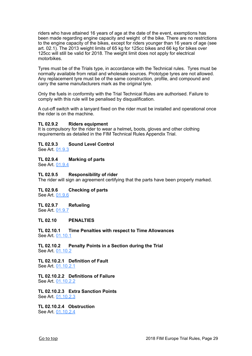riders who have attained 16 years of age at the date of the event, exemptions has been made regarding engine capacity and weight of the bike. There are no restrictions to the engine capacity of the bikes, except for riders younger than 16 years of age (see art. 02.1). The 2013 weight limits of 65 kg for 125cc bikes and 66 kg for bikes over 125cc will still be valid for 2018. The weight limit does not apply for electrical motorbikes.

Tyres must be of the Trials type, in accordance with the Technical rules. Tyres must be normally available from retail and wholesale sources. Prototype tyres are not allowed. Any replacement tyre must be of the same construction, profile, and compound and carry the same manufacturers mark as the original tyre.

Only the fuels in conformity with the Trial Technical Rules are authorised. Failure to comply with this rule will be penalised by disqualification.

A cut-off switch with a lanyard fixed on the rider must be installed and operational once the rider is on the machine.

#### **TL 02.9.2 Riders equipment**

It is compulsory for the rider to wear a helmet**,** boots, gloves and other clothing requirements as detailed in the FIM Technical Rules Appendix Trial.

#### **TL 02.9.3 Sound Level Control**

See Art. [01.9.3](#page-12-0)

#### **TL 02.9.4 Marking of parts**

See Art. [01.9.4](#page-12-0)

#### **TL 02.9.5 Responsibility of rider**

The rider will sign an agreement certifying that the parts have been properly marked.

#### **TL 02.9.6 Checking of parts** See Art. [01.9.6](#page-12-0)

#### **TL 02.9.7 Refueling** See Art. [01.9.7](#page-12-0)

#### <span id="page-28-0"></span>**TL 02.10 PENALTIES**

**TL 02.10.1 Time Penalties with respect to Time Allowances** See Art. [01.10.1](#page-14-0)

**TL 02.10.2 Penalty Points in a Section during the Trial** See Art. [01.10.2](#page-14-0)

**TL 02.10.2.1 Definition of Fault** See Art. [01.10.2.1](#page-14-0)

**TL 02.10.2.2 Definitions of Failure** See Art. [01.10.2.2](#page-14-0)

**TL 02.10.2.3 Extra Sanction Points** See Art. [01.10.2.3](#page-14-0)

**TL 02.10.2.4 Obstruction** See Art. [01.10.2.4](#page-14-0)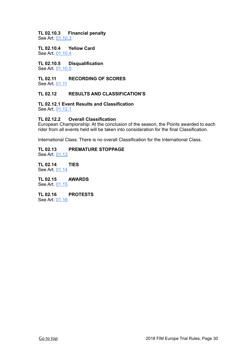## **TL 02.10.3 Financial penalty**

See Art. [01.10.3](#page-14-0)

**TL 02.10.4 Yellow Card** See Art. [01.10.4](#page-14-0)

**TL 02.10.5 Disqualification** See Art. [01.10.5](#page-17-0)

<span id="page-29-0"></span>**TL 02.11 RECORDING OF SCORES** See Art. [01.11](#page-17-0)

#### <span id="page-29-1"></span>**TL 02.12 RESULTS AND CLASSIFICATION'S**

**TL 02.12.1 Event Results and Classification** See Art. [01.12.1](#page-17-1)

#### **TL 02.12.2 Overall Classification**

European Championship: At the conclusion of the season, the Points awarded to each rider from all events held will be taken into consideration for the final Classification.

International Class: There is no overall Classification for the International Class.

#### **TL 02.13 PREMATURE STOPPAGE** See Art. [01.13](#page-18-0)

<span id="page-29-3"></span><span id="page-29-2"></span>**TL 02.14 TIES** See Art. [01.14](#page-18-1)

<span id="page-29-4"></span>**TL 02.15 AWARDS** See Art. [01.15](#page-18-2)

<span id="page-29-5"></span>**TL 02.16 PROTESTS** See Art. [01.16](#page-19-0)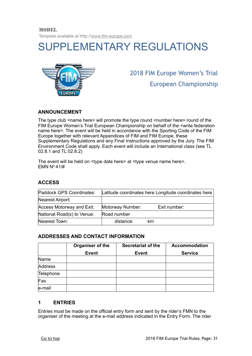MODEL. Template available at http:/[/www.fim-europe.com](http://www.fim-europe.com)

## <span id="page-30-0"></span>SUPPLEMENTARY REGULATIONS



2018 FIM Europe Women's Trial European Championship

#### **ANNOUNCEMENT**

The type club <name here> will promote the type round <number here> round of the FIM Europe Women's Trial European Championship on behalf of the <write federation name here>. The event will be held in accordance with the Sporting Code of the FIM Europe together with relevant Appendices of FIM and FIM Europe, these Supplementary Regulations and any Final Instructions approved by the Jury. The FIM Environment Code shall apply. Each event will include an International class (see TL 02.8.1 and TL 02.8.2)

The event will be held on <type date here> at <type venue name here>. EMN  $N^{\circ}$  41/#

#### **ACCESS**

| Paddock GPS Coordinates:   | Latitude coordinates here Longitude coordinates here |              |
|----------------------------|------------------------------------------------------|--------------|
| Nearest Airport:           |                                                      |              |
| Access Motorway and Exit:  | Motorway Number:                                     | Exit number: |
| National Road(s) to Venue: | Road number                                          |              |
| Nearest Town:              | distance:                                            | km           |

#### **ADDRESSES AND CONTACT INFORMATION**

|           | Organiser of the | <b>Secretariat of the</b> | <b>Accommodation</b> |
|-----------|------------------|---------------------------|----------------------|
|           | <b>Event</b>     | <b>Event</b>              | <b>Service</b>       |
| Name      |                  |                           |                      |
| Address   |                  |                           |                      |
| Telephone |                  |                           |                      |
| Fax       |                  |                           |                      |
| e-mail    |                  |                           |                      |

#### **1 ENTRIES**

Entries must be made on the official entry form and sent by the rider's FMN to the organiser of the meeting at the e-mail address indicated in the Entry Form. The rider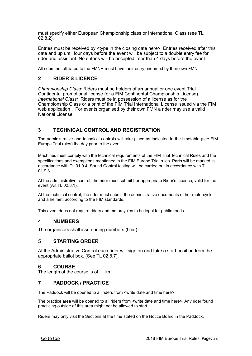must specify either European Championship class or International Class (see TL 02.8.2).

Entries must be received by <type in the closing date here>. Entries received after this date and up until four days before the event will be subject to a double entry fee for rider and assistant. No entries will be accepted later than 4 days before the event.

All riders not affiliated to the FMNR must have their entry endorsed by their own FMN.

#### **2 RIDER'S LICENCE**

*Championship Class:* Riders must be holders of a**n** annual or one event Trial Continental promotional license (or a FIM Continental Championship License). *International Class:* Riders must be in possession of a license as for the Championship Class or a print of the FIM Trial International License issued via the FIM web application . For events organised by their own FMN a rider may use a valid National License.

#### **3 TECHNICAL CONTROL AND REGISTRATION**

The administrative and technical controls will take place as indicated in the timetable (see FIM Europe Trial rules) the day prior to the event.

Machines must comply with the technical requirements of the FIM Trial Technical Rules and the specifications and exemptions mentioned in the FIM Europe Trial rules. Parts will be marked in accordance with TL 01.9.4. Sound Control testing will be carried out in accordance with TL 01.9.3.

At the administrative control, the rider must submit her appropriate Rider's Licence, valid for the event (Art TL 02.8.1).

At the technical control, the rider must submit the administrative documents of her motorcycle and a helmet, according to the FIM standards.

This event does not require riders and motorcycles to be legal for public roads.

#### **4 NUMBERS**

The organisers shall issue riding numbers (bibs).

#### **5 STARTING ORDER**

At the Administrative Control each rider will sign on and take a start position from the appropriate ballot box. (See TL 02.8.7).

#### **6 COURSE**

The length of the course is of km.

#### **7 PADDOCK / PRACTICE**

The Paddock will be opened to all riders from <write date and time here>.

The practice area will be opened to all riders from <write date and time here>. Any rider found practicing outside of this area might not be allowed to start.

Riders may only visit the Sections at the time stated on the Notice Board in the Paddock.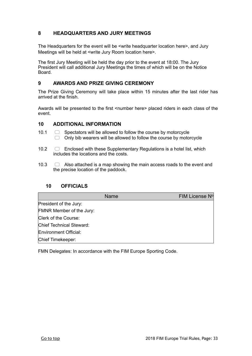#### **8 HEADQUARTERS AND JURY MEETINGS**

The Headquarters for the event will be <write headquarter location here>, and Jury Meetings will be held at <write Jury Room location here>.

The first Jury Meeting will be held the day prior to the event at 18:00. The Jury President will call additional Jury Meetings the times of which will be on the Notice Board.

#### **9 AWARDS AND PRIZE GIVING CEREMONY**

The Prize Giving Ceremony will take place within 15 minutes after the last rider has arrived at the finish.

Awards will be presented to the first <number here> placed riders in each class of the event.

#### **10 ADDITIONAL INFORMATION**

- 10.1  $\Box$  Spectators will be allowed to follow the course by motorcycle  $\Box$  Only bib wearers will be allowed to follow the course by motorcycle
- 10.2  $\Box$  Enclosed with these Supplementary Regulations is a hotel list, which includes the locations and the costs.
- 10.3  $\Box$  Also attached is a map showing the main access roads to the event and the precise location of the paddock.

#### **10 OFFICIALS**

|                          | <b>Name</b> | FIM License Nº |
|--------------------------|-------------|----------------|
| President of the Jury:   |             |                |
| FMNR Member of the Jury: |             |                |
| Clerk of the Course:     |             |                |
| Chief Technical Steward: |             |                |
| Environment Official:    |             |                |
| Chief Timekeeper:        |             |                |

FMN Delegates: In accordance with the FIM Europe Sporting Code.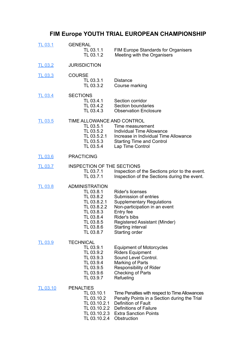## <span id="page-33-0"></span>**FIM Europe YOUTH TRIAL EUROPEAN CHAMPIONSHIP**

| <b>TL 03.1</b>  | <b>GENERAL</b><br>TL 03.1.1<br>TL 03.1.2                                                                                                       | <b>FIM Europe Standards for Organisers</b><br>Meeting with the Organisers                                                                                                                                                  |
|-----------------|------------------------------------------------------------------------------------------------------------------------------------------------|----------------------------------------------------------------------------------------------------------------------------------------------------------------------------------------------------------------------------|
| <b>TL 03.2</b>  | <b>JURISDICTION</b>                                                                                                                            |                                                                                                                                                                                                                            |
| <b>TL 03.3</b>  | <b>COURSE</b><br>TL 03.3.1<br>TL 03.3.2                                                                                                        | <b>Distance</b><br>Course marking                                                                                                                                                                                          |
| <b>TL 03.4</b>  | <b>SECTIONS</b><br>TL 03.4.1<br>TL 03.4.2<br>TL 03.4.3                                                                                         | Section corridor<br>Section boundaries<br><b>Observation Enclosure</b>                                                                                                                                                     |
| <b>TL 03.5</b>  | TIME ALLOWANCE AND CONTROL<br>TL 03.5.1<br>TL 03.5.2<br>TL 03.5.2.1<br>TL 03.5.3<br>TL 03.5.4                                                  | Time measurement<br><b>Individual Time Allowance</b><br>Increase in Individual Time Allowance<br><b>Starting Time and Control</b><br>Lap Time Control                                                                      |
| <b>TL 03.6</b>  | <b>PRACTICING</b>                                                                                                                              |                                                                                                                                                                                                                            |
| <b>TL 03.7</b>  | <b>INSPECTION OF THE SECTIONS</b><br>TL 03.7.1<br>TL 03.7.1                                                                                    | Inspection of the Sections prior to the event.<br>Inspection of the Sections during the event.                                                                                                                             |
| <b>TL 03.8</b>  | <b>ADMINISTRATION</b><br>TL 03.8.1<br>TL 03.8.2<br>TL 03.8.2.1<br>TL 03.8.2.2<br>TL 03.8.3<br>TL 03.8.4<br>TL 03.8.5<br>TL 03.8.6<br>TL 03.8.7 | <b>Rider's licenses</b><br>Submission of entries<br><b>Supplementary Regulations</b><br>Non-participation in an event<br>Entry fee<br>Rider's bibs<br>Registered Assistant (Minder)<br>Starting interval<br>Starting order |
| <b>TL 03.9</b>  | <b>TECHNICAL</b><br>TL 03.9.1<br>TL 03.9.2<br>TL 03.9.3<br>TL 03.9.4<br>TL 03.9.5<br>TL 03.9.6<br>TL 03.9.7                                    | <b>Equipment of Motorcycles</b><br><b>Riders Equipment</b><br>Sound Level Control.<br>Marking of Parts<br>Responsibility of Rider<br><b>Checking of Parts</b><br>Refueling                                                 |
| <b>TL 03.10</b> | <b>PENALTIES</b><br>TL 03.10.1<br>TL 03.10.2<br>TL 03.10.2.1<br>TL 03.10.2.2<br>TL 03.10.2.3<br>TL 03.10.2.4                                   | Time Penalties with respect to Time Allowances<br>Penalty Points in a Section during the Trial<br>Definition of Fault<br>Definitions of Failure<br><b>Extra Sanction Points</b><br>Obstruction                             |
|                 |                                                                                                                                                |                                                                                                                                                                                                                            |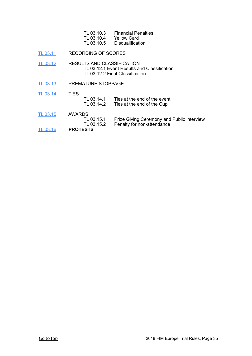| TL 03.10.3 | <b>Financial Penalties</b> |
|------------|----------------------------|
| TL 03.10.4 | Yellow Card                |
| TL 03.10.5 | Disqualification           |

[TL 03.11](#page-39-0) RECORDING OF SCORES

[TL 03.12](#page-39-1) RESULTS AND CLASSIFICATION TL 03.12.1 Event Results and Classification TL 03.12.2 Final Classification

[TL 03.13](#page-39-2) PREMATURE STOPPAGE

[TL 03.14](#page-39-3) TIES

- TL 03.14.1 Ties at the end of the event<br>TL 03.14.2 Ties at the end of the Cup Ties at the end of the Cup
- [TL 03.15](#page-39-4) AWARDS<br>TL 03.15.1
- TL 03.15.1 Prize Giving Ceremony and Public interview<br>TL 03.15.2 Penalty for non-attendance Penalty for non-attendance
- [TL 03.16](#page-40-0) **PROTESTS**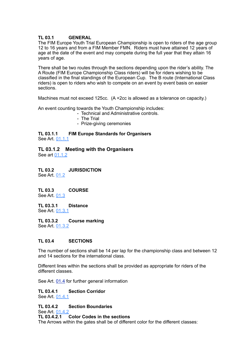#### <span id="page-35-0"></span>**TL 03.1 GENERAL**

The FIM Europe Youth Trial European Championship is open to riders of the age group 12 to 16 years and from a FIM Member FMN. Riders must have attained 12 years of age at the date of the event and may compete during the full year that they attain 16 years of age.

There shall be two routes through the sections depending upon the rider's ability. The A Route (FIM Europe Championship Class riders) will be for riders wishing to be classified in the final standings of the European Cup. The B route (International Class riders) is open to riders who wish to compete on an event by event basis on easier sections.

Machines must not exceed 125cc. (A +2cc is allowed as a tolerance on capacity.)

An event counting towards the Youth Championship includes:

- Technical and Administrative controls.
- The Trial
- Prize-giving ceremonies

**TL 03.1.1 FIM Europe Standards for Organisers** See Art. [01.1.1](#page-5-0)

**TL 03.1.2 Meeting with the Organisers** See art [01.1.2](#page-5-0)

<span id="page-35-1"></span>**TL 03.2 JURISDICTION** See Art. [01.2](#page-6-0)

<span id="page-35-2"></span>**TL 03.3 COURSE** See Art. [01.3](#page-6-1)

**TL 03.3.1 Distance** See Art. [01.3.1](#page-6-1)

**TL 03.3.2 Course marking** See Art. [01.3.2](#page-6-1)

#### <span id="page-35-3"></span>**TL 03.4 SECTIONS**

The number of sections shall be 14 per lap for the championship class and between 12 and 14 sections for the international class.

Different lines within the sections shall be provided as appropriate for riders of the different classes.

See Art. [01.4](#page-7-0) for further general information

**TL 03.4.1 Section Corridor** See Art. [01.4.1](#page-7-0)

**TL 03.4.2 Section Boundaries**

See Art. [01.4.2](#page-7-0)<br>TL 03.4.2.1

#### **Color Codes in the sections**

The Arrows within the gates shall be of different color for the different classes: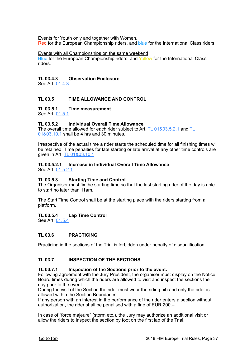Events for Youth only and together with Women.

Red for the European Championship riders, and blue for the International Class riders.

Events with all Championships on the same weekend

Blue for the European Championship riders, and Yellow for the International Class riders.

#### **TL 03.4.3 Observation Enclosure**

See Art. [01.4.3](#page-7-0)

#### <span id="page-36-0"></span>**TL 03.5 TIME ALLOWANCE AND CONTROL**

#### **TL 03.5.1 Time measurement**

See Art. [01.5.1](#page-9-0)

#### **TL 03.5.2 Individual Overall Time Allowance**

The overall time allowed for each rider subject to Art. [TL 01&03.5.2.1](#page-9-0) and [TL](#page-14-0)  [01&03.10.1](#page-14-0) shall be 4 hrs and 30 minutes.

Irrespective of the actual time a rider starts the scheduled time for all finishing times will be retained. Time penalties for late starting or late arrival at any other time controls are given in Art. [TL 01&03.10.1](#page-14-0)

## **TL 03.5.2.1 Increase in Individual Overall Time Allowance**

See Art. [01.5.2.1](#page-9-0)

#### **TL 03.5.3 Starting Time and Control**

The Organiser must fix the starting time so that the last starting rider of the day is able to start no later than 11am.

The Start Time Control shall be at the starting place with the riders starting from a platform.

#### **TL 03.5.4 Lap Time Control**

See Art. [01.5.4](#page-9-0)

#### <span id="page-36-1"></span>**TL 03.6 PRACTICING**

Practicing in the sections of the Trial is forbidden under penalty of disqualification.

#### <span id="page-36-2"></span>**TL 03.7 INSPECTION OF THE SECTIONS**

#### **TL 03.7.1 Inspection of the Sections prior to the event.**

Following agreement with the Jury President, the organiser must display on the Notice Board times during which the riders are allowed to visit and inspect the sections the day prior to the event.

During the visit of the Section the rider must wear the riding bib and only the rider is allowed within the Section Boundaries.

If any person with an interest in the performance of the rider enters a section without authorization, the rider shall be penalised with a fine of EUR 200.–.

In case of "force majeure" (storm etc.), the Jury may authorize an additional visit or allow the riders to inspect the section by foot on the first lap of the Trial.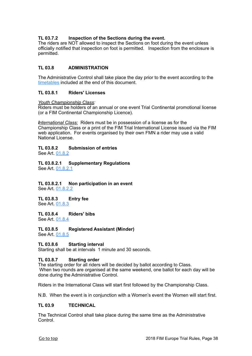#### **TL 03.7.2 Inspection of the Sections during the event.**

The riders are NOT allowed to inspect the Sections on foot during the event unless officially notified that inspection on foot is permitted. Inspection from the enclosure is permitted.

#### <span id="page-37-0"></span>**TL 03.8 ADMINISTRATION**

The Administrative Control shall take place the day prior to the event according to the [timetables](#page-50-0) included at the end of this document.

#### **TL 03.8.1 Riders' Licenses**

*Youth Championship Class:*

Riders must be holders of an annual or one event Trial Continental promotional license (or a FIM Continental Championship Licence).

*International Class:* Riders must be in possession of a license as for the Championship Class or a print of the FIM Trial International License issued via the FIM web application. For events organised by their own FMN a rider may use a valid National License.

#### **TL 03.8.2 Submission of entries**

See Art. [01.8.2](#page-10-0)

**TL 03.8.2.1 Supplementary Regulations**  See Art. [01.8.2.1](#page-10-0)

**TL 03.8.2.1 Non participation in an event**  See Art. [01.8.2.2](#page-10-0)

**TL 03.8.3 Entry fee** See Art. [01.8.3](#page-10-0)

**TL 03.8.4 Riders' bibs** See Art. [01.8.4](#page-10-0)

**TL 03.8.5 Registered Assistant (Minder)**

See Art. [01.8.5](#page-10-0)

**TL 03.8.6 Starting interval**

Starting shall be at intervals 1 minute and 30 seconds.

#### **TL 03.8.7 Starting order**

The starting order for all riders will be decided by ballot according to Class. When two rounds are organised at the same weekend, one ballot for each day will be done during the Administrative Control.

Riders in the International Class will start first followed by the Championship Class.

N.B. When the event is in conjunction with a Women's event the Women will start first.

#### <span id="page-37-1"></span>**TL 03.9 TECHNICAL**

The Technical Control shall take place during the same time as the Administrative Control.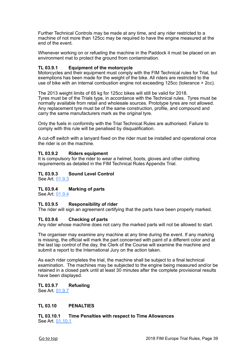Further Technical Controls may be made at any time, and any rider restricted to a machine of not more than 125cc may be required to have the engine measured at the end of the event.

Whenever working on or refueling the machine in the Paddock it must be placed on an environment mat to protect the ground from contamination.

#### **TL 03.9.1 Equipment of the motorcycle**

Motorcycles and their equipment must comply with the FIM Technical rules for Trial, but exemptions has been made for the weight of the bike. All riders are restricted to the use of bike with an internal combustion engine not exceeding 125cc (tolerance + 2cc).

The 2013 weight limits of 65 kg for 125cc bikes will still be valid for 2018. Tyres must be of the Trials type, in accordance with the Technical rules. Tyres must be normally available from retail and wholesale sources. Prototype tyres are not allowed. Any replacement tyre must be of the same construction, profile, and compound and carry the same manufacturers mark as the original tyre.

Only the fuels in conformity with the Trial Technical Rules are authorised. Failure to comply with this rule will be penalised by disqualification.

A cut-off switch with a lanyard fixed on the rider must be installed and operational once the rider is on the machine.

#### **TL 03.9.2 Riders equipment**

It is compulsory for the rider to wear a helmet, boots, gloves and other clothing requirements as detailed in the FIM Technical Rules Appendix Trial.

#### **TL 03.9.3 Sound Level Control**

See Art. [01.9.3](#page-12-0)

#### **TL 03.9.4 Marking of parts**

See Art. [01.9.4](#page-12-0)

#### **TL 03.9.5 Responsibility of rider**

The rider will sign an agreement certifying that the parts have been properly marked.

#### **TL 03.9.6 Checking of parts**

Any rider whose machine does not carry the marked parts will not be allowed to start.

The organiser may examine any machine at any time during the event. If any marking is missing, the official will mark the part concerned with paint of a different color and at the last lap control of the day, the Clerk of the Course will examine the machine and submit a report to the International Jury on the action taken.

As each rider completes the trial, the machine shall be subject to a final technical examination. The machines may be subjected to the engine being measured and/or be retained in a closed park until at least 30 minutes after the complete provisional results have been displayed.

#### **TL 03.9.7 Refueling**

See Art. [01.9.7](http://livepage.apple.com/)

#### <span id="page-38-0"></span>**TL 03.10 PENALTIES**

**TL 03.10.1 Time Penalties with respect to Time Allowances** See Art. [01.10.1](#page-14-0)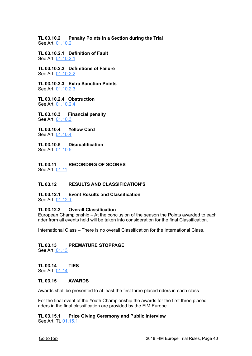**TL 03.10.2 Penalty Points in a Section during the Trial** See Art. [01.10.2](#page-14-0)

**TL 03.10.2.1 Definition of Fault** See Art. [01.10.2.1](#page-14-0)

**TL 03.10.2.2 Definitions of Failure** See Art. [01.10.2.2](#page-14-0)

**TL 03.10.2.3 Extra Sanction Points** See Art. [01.10.2.3](#page-14-0)

**TL 03.10.2.4 Obstruction** See Art. [01.10.2.4](#page-14-0)

**TL 03.10.3 Financial penalty** See Art. [01.10.3](#page-14-0)

**TL 03.10.4 Yellow Card** See Art. [01.10.4](#page-14-0)

**TL 03.10.5 Disqualification** See Art. [01.10.5](#page-17-0)

<span id="page-39-0"></span>**TL 03.11 RECORDING OF SCORES** See Art. [01.11](#page-17-0)

#### <span id="page-39-1"></span>**TL 03.12 RESULTS AND CLASSIFICATION'S**

**TL 03.12.1 Event Results and Classification** See Art. [01.12.1](#page-17-1)

#### **TL 03.12.2 Overall Classification**

European Championship – At the conclusion of the season the Points awarded to each rider from all events held will be taken into consideration for the final Classification.

International Class – There is no overall Classification for the International Class.

### <span id="page-39-2"></span>**TL 03.13 PREMATURE STOPPAGE**

See Art[. 01.13](#page-18-0)

#### <span id="page-39-3"></span>**TL 03.14 TIES** See Art. [01.14](#page-18-1)

#### <span id="page-39-4"></span>**TL 03.15 AWARDS**

Awards shall be presented to at least the first three placed riders in each class.

For the final event of the Youth Championship the awards for the first three placed riders in the final classification are provided by the FIM Europe.

#### **TL 03.15.1 Prize Giving Ceremony and Public interview** See Art. TL [01.15.1](#page-18-2)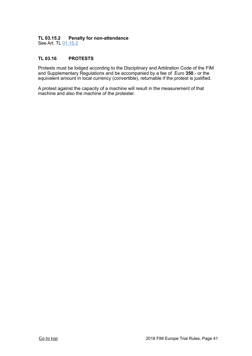#### **TL 03.15.2 Penalty for non-attendance**

See Art. TL [01.15.2](#page-18-2)

#### <span id="page-40-0"></span>**TL 03.16 PROTESTS**

Protests must be lodged according to the Disciplinary and Arbitration Code of the FIM and Supplementary Regulations and be accompanied by a fee of Euro **350**.- or the equivalent amount in local currency (convertible), returnable if the protest is justified.

A protest against the capacity of a machine will result in the measurement of that machine and also the machine of the protester.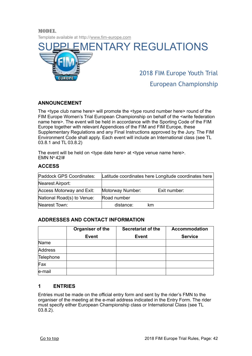Template available at http:/[/www.fim-europe.com](http://www.fim-europe.com)

<span id="page-41-0"></span>

European Championship

#### **ANNOUNCEMENT**

MODEL.

The <type club name here> will promote the <type round number here> round of the FIM Europe Women's Trial European Championship on behalf of the <write federation name here>. The event will be held in accordance with the Sporting Code of the FIM Europe together with relevant Appendices of the FIM and FIM Europe, these Supplementary Regulations and any Final Instructions approved by the Jury. The FIM Environment Code shall apply. Each event will include an International class (see TL 03.8.1 and TL 03.8.2)

The event will be held on <type date here> at <type venue name here>. EMN  $N^{\circ}$  42/#

#### **ACCESS**

| Paddock GPS Coordinates:   | Latitude coordinates here Longitude coordinates here |              |
|----------------------------|------------------------------------------------------|--------------|
| Nearest Airport:           |                                                      |              |
| Access Motorway and Exit:  | Motorway Number:                                     | Exit number: |
| National Road(s) to Venue: | Road number                                          |              |
| Nearest Town:              | distance:                                            | km           |

#### **ADDRESSES AND CONTACT INFORMATION**

|           | Organiser of the | <b>Secretariat of the</b> | <b>Accommodation</b> |
|-----------|------------------|---------------------------|----------------------|
|           | <b>Event</b>     | <b>Event</b>              | <b>Service</b>       |
| Name      |                  |                           |                      |
| Address   |                  |                           |                      |
| Telephone |                  |                           |                      |
| Fax       |                  |                           |                      |
| le-mail   |                  |                           |                      |

#### **1 ENTRIES**

Entries must be made on the official entry form and sent by the rider's FMN to the organiser of the meeting at the e-mail address indicated in the Entry Form. The rider must specify either European Championship class or International Class (see TL 03.8.2).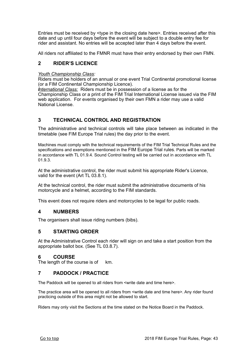Entries must be received by <type in the closing date here>. Entries received after this date and up until four days before the event will be subject to a double entry fee for rider and assistant. No entries will be accepted later than 4 days before the event.

All riders not affiliated to the FMNR must have their entry endorsed by their own FMN.

#### **2 RIDER'S LICENCE**

#### *Youth Championship Class:*

Riders must be holders of an annual or one event Trial Continental promotional license (or a FIM Continental Championship Licence).

*International Class:* Riders must be in possession of a license as for the Championship Class or a print of the FIM Trial International License issued via the FIM web application. For events organised by their own FMN a rider may use a valid National License.

#### **3 TECHNICAL CONTROL AND REGISTRATION**

The administrative and technical controls will take place between as indicated in the timetable (see FIM Europe Trial rules) the day prior to the event.

Machines must comply with the technical requirements of the FIM Trial Technical Rules and the specifications and exemptions mentioned in the FIM Europe Trial rules. Parts will be marked in accordance with TL 01.9.4. Sound Control testing will be carried out in accordance with TL 01.9.3.

At the administrative control, the rider must submit his appropriate Rider's Licence, valid for the event (Art TL 03.8.1).

At the technical control, the rider must submit the administrative documents of his motorcycle and a helmet, according to the FIM standards.

This event does not require riders and motorcycles to be legal for public roads.

#### **4 NUMBERS**

The organisers shall issue riding numbers (bibs).

#### **5 STARTING ORDER**

At the Administrative Control each rider will sign on and take a start position from the appropriate ballot box. (See TL 03.8.7).

#### **6 COURSE**

The length of the course is of km.

#### **7 PADDOCK / PRACTICE**

The Paddock will be opened to all riders from <write date and time here>.

The practice area will be opened to all riders from <write date and time here>. Any rider found practicing outside of this area might not be allowed to start.

Riders may only visit the Sections at the time stated on the Notice Board in the Paddock.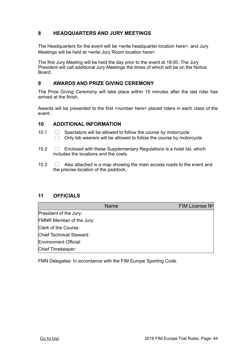#### **8 HEADQUARTERS AND JURY MEETINGS**

The Headquarters for the event will be <write headquarter location here>, and Jury Meetings will be held at <write Jury Room location here>.

The first Jury Meeting will be held the day prior to the event at 18:00. The Jury President will call additional Jury Meetings the times of which will be on the Notice Board.

#### **9 AWARDS AND PRIZE GIVING CEREMONY**

The Prize Giving Ceremony will take place within 15 minutes after the last rider has arrived at the finish.

Awards will be presented to the first <number here> placed riders in each class of the event.

#### **10 ADDITIONAL INFORMATION**

- 10.1  $\Box$  Spectators will be allowed to follow the course by motorcycle  $\Box$  Only bib wearers will be allowed to follow the course by motorcycle
- 10.2  $\Box$  Enclosed with these Supplementary Regulations is a hotel list, which includes the locations and the costs.
- 10.3  $\Box$  Also attached is a map showing the main access roads to the event and the precise location of the paddock.

#### **11 OFFICIALS**

|                          | <b>Name</b> | FIM License Nº |
|--------------------------|-------------|----------------|
| President of the Jury:   |             |                |
| FMNR Member of the Jury: |             |                |
| Clerk of the Course:     |             |                |
| Chief Technical Steward: |             |                |
| Environment Official:    |             |                |
| Chief Timekeeper:        |             |                |

FMN Delegates: In accordance with the FIM Europe Sporting Code.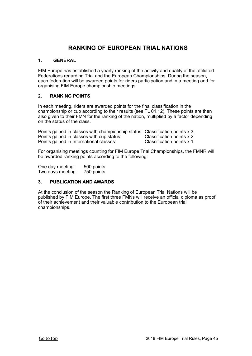### <span id="page-44-0"></span>**RANKING OF EUROPEAN TRIAL NATIONS**

#### **1. GENERAL**

FIM Europe has established a yearly ranking of the activity and quality of the affiliated Federations regarding Trial and the European Championships. During the season, each federation will be awarded points for riders participation and in a meeting and for organising FIM Europe championship meetings.

#### **2. RANKING POINTS**

In each meeting, riders are awarded points for the final classification in the championship or cup according to their results (see TL 01.12). These points are then also given to their FMN for the ranking of the nation, multiplied by a factor depending on the status of the class.

Points gained in classes with championship status: Classification points x 3.<br>Points gained in classes with cup status: Classification points x 2 Points gained in classes with cup status: Classification points x 2<br>Points gained in International classes: Classification points x 1 Points gained in International classes:

For organising meetings counting for FIM Europe Trial Championships, the FMNR will be awarded ranking points according to the following:

One day meeting: 500 points Two days meeting: 750 points.

#### **3. PUBLICATION AND AWARDS**

At the conclusion of the season the Ranking of European Trial Nations will be published by FIM Europe. The first three FMNs will receive an official diploma as proof of their achievement and their valuable contribution to the European trial championships.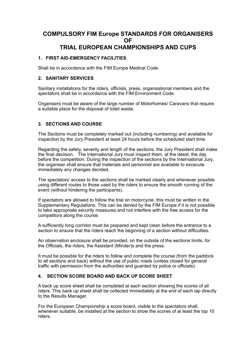#### <span id="page-45-0"></span>**COMPULSORY FIM Europe STANDARDS FOR ORGANISERS OF TRIAL EUROPEAN CHAMPIONSHIPS AND CUPS**

#### **1. FIRST AID-EMERGENCY FACILITIES**

Shall be in accordance with the FIM Europe Medical Code.

#### **2. SANITARY SERVICES**

Sanitary installations for the riders, officials, press, organisational members and the spectators shall be in accordance with the FIM Environment Code.

Organisers must be aware of the large number of Motorhomes/ Caravans that require a suitable place for the disposal of toilet waste.

#### **3. SECTIONS AND COURSE**

The Sections must be completely marked out (including numbering) and available for inspection by the Jury President at least 24 hours before the scheduled start time.

Regarding the safety, severity and length of the sections, the Jury President shall make the final decision. The International Jury must inspect them, at the latest, the day before the competition. During the inspection of the sections by the International Jury, the organiser shall ensure that materials and personnel are available to excecute immediately any changes decided.

The spectators' access to the sections shall be marked clearly and whenever possible using different routes to those used by the riders to ensure the smooth running of the event (without hindering the participants).

If spectators are allowed to follow the trial on motorcycle, this must be written in the Supplementary Regulations. This can be denied by the FIM Europe if it is not possible to take appropriate security measures and not interfere with the free access for the competitors along the course.

A sufficiently long corridor must be prepared and kept clean before the entrance to a section to ensure that the riders reach the beginning of a section without difficulties.

An observation enclosure shall be provided, on the outside of the sections limits, for the Officials, the riders, the Assistant (Minder)s and the press.

It must be possible for the riders to follow and complete the course (from the paddock to all sections and back) without the use of public roads (unless closed for general traffic with permission from the authorities and guarded by police or officials).

#### **4. SECTION SCORE BOARD AND BACK UP SCORE SHEET**

A back up score sheet shall be completed at each section showing the scores of all riders. This back up sheet shall be collected immediately at the end of each lap directly to the Results Manager.

For the European Championship a score board, visible to the spectators shall, whenever suitable, be installed at the section to show the scores of at least the top 10 riders.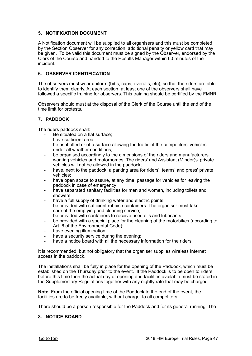#### **5. NOTIFICATION DOCUMENT**

A Notification document will be supplied to all organisers and this must be completed by the Section Observer for any correction, additional penalty or yellow card that may be given. To be valid this document must be signed by the Observer, endorsed by the Clerk of the Course and handed to the Results Manager within 60 minutes of the incident.

#### **6. OBSERVER IDENTIFICATION**

The observers must wear uniform (bibs, caps, overalls, etc), so that the riders are able to identify them clearly. At each section, at least one of the observers shall have followed a specific training for observers. This training should be certified by the FMNR.

Observers should must at the disposal of the Clerk of the Course until the end of the time limit for protests.

#### **7. PADDOCK**

The riders paddock shall:

- Be situated on a flat surface;
- have sufficient area;
- be asphalted or of a surface allowing the traffic of the competitors' vehicles under all weather conditions;
- be organised accordingly to the dimensions of the riders and manufacturers working vehicles and motorhomes. The riders' and Assistant (Minder)s' private vehicles will not be allowed in the paddock;
- have, next to the paddock, a parking area for riders', teams' and press' private vehicles;
- have open space to assure, at any time, passage for vehicles for leaving the paddock in case of emergency;
- have separated sanitary facilities for men and women, including toilets and showers;
- have a full supply of drinking water and electric points;
- be provided with sufficient rubbish containers. The organiser must take care of the emptying and cleaning service;
- be provided with containers to receive used oils and lubricants;
- be provided with a special place for the cleaning of the motorbikes (according to Art. 6 of the Environmental Code);
- have evening illumination;
- have a security service during the evening;
- have a notice board with all the necessary information for the riders.

It is recommended, but not obligatory that the organiser supplies wireless Internet access in the paddock.

The installations shall be fully in place for the opening of the Paddock, which must be established on the Thursday prior to the event. If the Paddock is to be open to riders before this time then the actual day of opening and facilities available must be stated in the Supplementary Regulations together with any nightly rate that may be charged.

**Note**: From the official opening time of the Paddock to the end of the event, the facilities are to be freely available, without charge, to all competitors.

There should be a person responsible for the Paddock and for its general running. The

#### **8. NOTICE BOARD**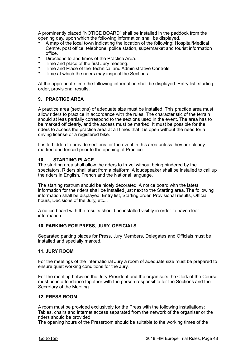A prominently placed "NOTICE BOARD" shall be installed in the paddock from the opening day, upon which the following information shall be displayed.

- A map of the local town indicating the location of the following: Hospital/Medical Centre, post office, telephone, police station, supermarket and tourist information office.
- Directions to and times of the Practice Area.
- Time and place of the first Jury meeting.
- Time and Place of the Technical and Administrative Controls.
- Time at which the riders may inspect the Sections.

At the appropriate time the following information shall be displayed: Entry list, starting order, provisional results.

#### **9. PRACTICE AREA**

A practice area (sections) of adequate size must be installed. This practice area must allow riders to practice in accordance with the rules. The characteristic of the terrain should at leas partially correspond to the sections used in the event. The area has to be marked off clearly, and the access must be marked. It must be possible for the riders to access the practice area at all times that it is open without the need for a driving license or a registered bike.

It is forbidden to provide sections for the event in this area unless they are clearly marked and fenced prior to the opening of Practice.

#### **10. STARTING PLACE**

The starting area shall allow the riders to travel without being hindered by the spectators. Riders shall start from a platform. A loudspeaker shall be installed to call up the riders in English, French and the National language.

The starting rostrum should be nicely decorated. A notice board with the latest information for the riders shall be installed just next to the Starting area. The following information shall be displayed: Entry list, Starting order, Provisional results, Official hours, Decisions of the Jury, etc...

A notice board with the results should be installed visibly in order to have clear information.

#### **10. PARKING FOR PRESS, JURY, OFFICIALS**

Separated parking places for Press, Jury Members, Delegates and Officials must be installed and specially marked.

#### **11. JURY ROOM**

For the meetings of the International Jury a room of adequate size must be prepared to ensure quiet working conditions for the Jury.

For the meeting between the Jury President and the organisers the Clerk of the Course must be in attendance together with the person responsible for the Sections and the Secretary of the Meeting.

#### **12. PRESS ROOM**

A room must be provided exclusively for the Press with the following installations: Tables, chairs and internet access separated from the network of the organiser or the riders should be provided.

The opening hours of the Pressroom should be suitable to the working times of the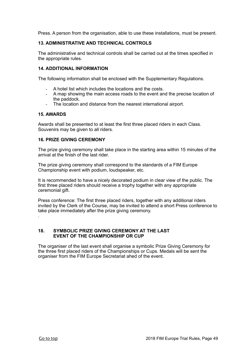Press. A person from the organisation, able to use these installations, must be present.

#### **13. ADMINISTRATIVE AND TECHNICAL CONTROLS**

The administrative and technical controls shall be carried out at the times specified in the appropriate rules.

#### **14. ADDITIONAL INFORMATION**

The following information shall be enclosed with the Supplementary Regulations.

- A hotel list which includes the locations and the costs.
- A map showing the main access roads to the event and the precise location of the paddock.
- The location and distance from the nearest international airport.

#### **15. AWARDS**

Awards shall be presented to at least the first three placed riders in each Class. Souvenirs may be given to all riders.

#### **16. PRIZE GIVING CEREMONY**

The prize giving ceremony shall take place in the starting area within 15 minutes of the arrival at the finish of the last rider.

The prize giving ceremony shall correspond to the standards of a FIM Europe Championship event with podium, loudspeaker, etc.

It is recommended to have a nicely decorated podium in clear view of the public. The first three placed riders should receive a trophy together with any appropriate ceremonial gift.

Press conference: The first three placed riders, together with any additional riders invited by the Clerk of the Course, may be invited to attend a short Press conference to take place immediately after the prize giving ceremony. .

#### **18. SYMBOLIC PRIZE GIVING CEREMONY AT THE LAST EVENT OF THE CHAMPIONSHIP OR CUP**

The organiser of the last event shall organise a symbolic Prize Giving Ceremony for the three first placed riders of the Championships or Cups. Medals will be sent the organiser from the FIM Europe Secretariat ahed of the event.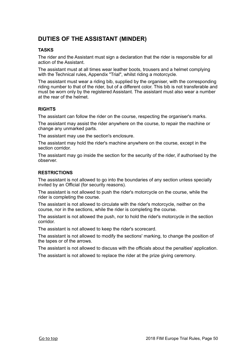## <span id="page-49-0"></span>**DUTIES OF THE ASSISTANT (MINDER)**

#### **TASKS**

The rider and the Assistant must sign a declaration that the rider is responsible for all action of the Assistant.

The assistant must at all times wear leather boots, trousers and a helmet complying with the Technical rules, Appendix "Trial", whilst riding a motorcycle.

The assistant must wear a riding bib, supplied by the organiser, with the corresponding riding number to that of the rider, but of a different color. This bib is not transferable and must be worn only by the registered Assistant. The assistant must also wear a number at the rear of the helmet.

#### **RIGHTS**

The assistant can follow the rider on the course, respecting the organiser's marks.

The assistant may assist the rider anywhere on the course, to repair the machine or change any unmarked parts.

The assistant may use the section's enclosure.

The assistant may hold the rider's machine anywhere on the course, except in the section corridor.

The assistant may go inside the section for the security of the rider, if authorised by the observer.

#### **RESTRICTIONS**

The assistant is not allowed to go into the boundaries of any section unless specially invited by an Official (for security reasons).

The assistant is not allowed to push the rider's motorcycle on the course, while the rider is completing the course.

The assistant is not allowed to circulate with the rider's motorcycle, neither on the course, nor in the sections, while the rider is completing the course.

The assistant is not allowed the push, nor to hold the rider's motorcycle in the section corridor.

The assistant is not allowed to keep the rider's scorecard.

The assistant is not allowed to modify the sections' marking, to change the position of the tapes or of the arrows.

The assistant is not allowed to discuss with the officials about the penalties' application.

The assistant is not allowed to replace the rider at the prize giving ceremony.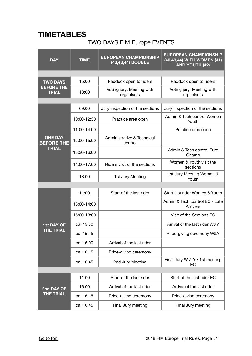## <span id="page-50-0"></span>**TIMETABLES**

## TWO DAYS FIM Europe EVENTS

| <b>DAY</b>                           | <b>TIME</b> | <b>EUROPEAN CHAMPIONSHIP</b><br>(40,43,44) DOUBLE | <b>EUROPEAN CHAMPIONSHIP</b><br>(40,43,44) WITH WOMEN (41)<br><b>AND YOUTH (42)</b> |
|--------------------------------------|-------------|---------------------------------------------------|-------------------------------------------------------------------------------------|
|                                      |             |                                                   |                                                                                     |
| <b>TWO DAYS</b><br><b>BEFORE THE</b> | 15:00       | Paddock open to riders                            | Paddock open to riders                                                              |
| <b>TRIAL</b>                         | 18:00       | Voting jury: Meeting with<br>organisers           | Voting jury: Meeting with<br>organisers                                             |
|                                      |             |                                                   |                                                                                     |
|                                      | 09:00       | Jury inspection of the sections                   | Jury inspection of the sections                                                     |
|                                      | 10:00-12:30 | Practice area open                                | Admin & Tech control Women<br>Youth                                                 |
|                                      | 11:00-14:00 |                                                   | Practice area open                                                                  |
| <b>ONE DAY</b><br><b>BEFORE THE</b>  | 12:00-15:00 | Administrative & Technical<br>control             |                                                                                     |
| <b>TRIAL</b>                         | 13:30-16:00 |                                                   | Admin & Tech control Euro<br>Champ                                                  |
|                                      | 14:00-17:00 | Riders visit of the sections                      | Women & Youth visit the<br>sections                                                 |
|                                      | 18:00       | 1st Jury Meeting                                  | 1st Jury Meeting Women &<br>Youth                                                   |
|                                      |             |                                                   |                                                                                     |
|                                      | 11:00       | Start of the last rider                           | Start last rider Women & Youth                                                      |
|                                      | 13:00-14:00 |                                                   | Admin & Tech control EC - Late<br>Arrivers                                          |
|                                      | 15:00-18:00 |                                                   | Visit of the Sections EC                                                            |
| 1st DAY OF                           | ca. 15:30   |                                                   | Arrival of the last rider W&Y                                                       |
| <b>THE TRIAL</b>                     | ca. 15:45   |                                                   | Price-giving ceremony W&Y                                                           |
|                                      | ca. 16:00   | Arrival of the last rider                         |                                                                                     |
|                                      | ca. 16:15   | Price-giving ceremony                             |                                                                                     |
|                                      | ca. 16:45   | 2nd Jury Meeting                                  | Final Jury W & Y / 1st meeting<br>EC                                                |
|                                      |             |                                                   |                                                                                     |
|                                      | 11:00       | Start of the last rider                           | Start of the last rider EC                                                          |
| 2nd DAY OF                           | 16:00       | Arrival of the last rider                         | Arrival of the last rider                                                           |
| <b>THE TRIAL</b>                     | ca. 16:15   | Price-giving ceremony                             | Price-giving ceremony                                                               |
|                                      | ca. 16:45   | Final Jury meeting                                | Final Jury meeting                                                                  |